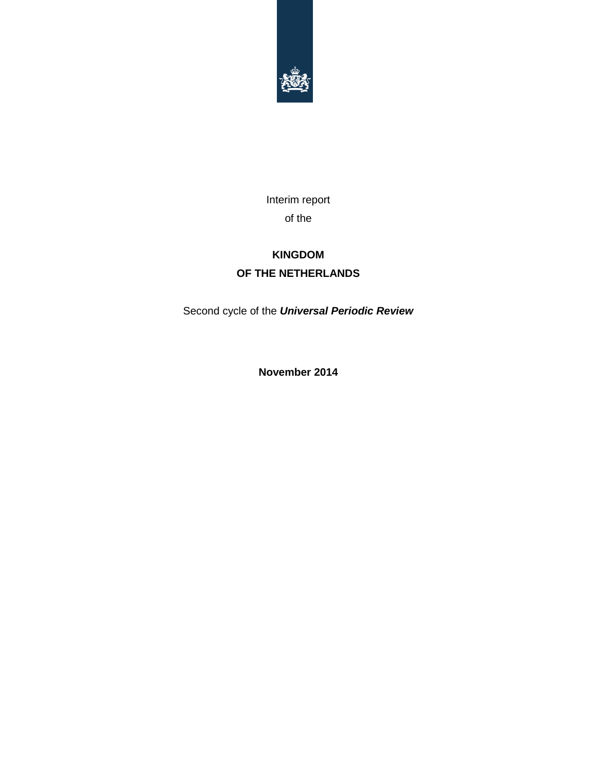

Interim report of the

## **KINGDOM OF THE NETHERLANDS**

Second cycle of the *Universal Periodic Review*

**November 2014**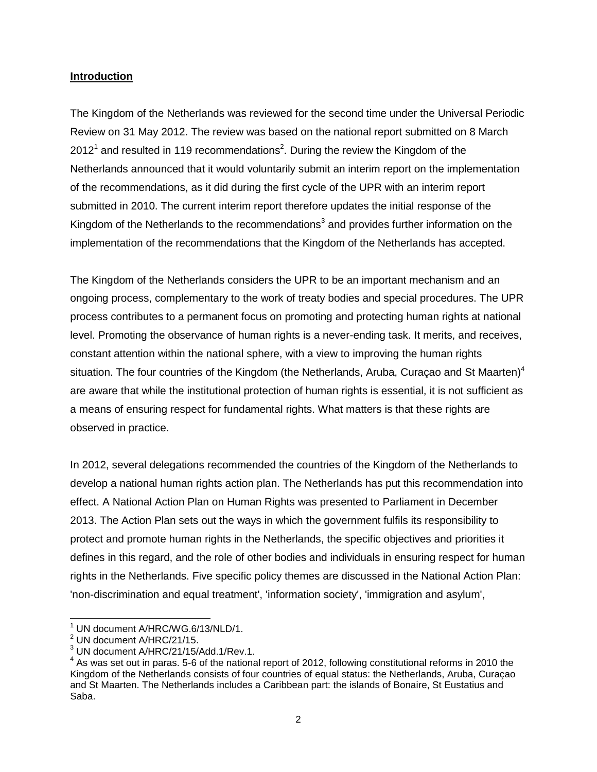#### **Introduction**

The Kingdom of the Netherlands was reviewed for the second time under the Universal Periodic Review on 31 May 2012. The review was based on the national report submitted on 8 March 2012<sup>1</sup> and resulted in 119 recommendations<sup>2</sup>. During the review the Kingdom of the Netherlands announced that it would voluntarily submit an interim report on the implementation of the recommendations, as it did during the first cycle of the UPR with an interim report submitted in 2010. The current interim report therefore updates the initial response of the Kingdom of the Netherlands to the recommendations<sup>3</sup> and provides further information on the implementation of the recommendations that the Kingdom of the Netherlands has accepted.

The Kingdom of the Netherlands considers the UPR to be an important mechanism and an ongoing process, complementary to the work of treaty bodies and special procedures. The UPR process contributes to a permanent focus on promoting and protecting human rights at national level. Promoting the observance of human rights is a never-ending task. It merits, and receives, constant attention within the national sphere, with a view to improving the human rights situation. The four countries of the Kingdom (the Netherlands, Aruba, Curaçao and St Maarten)<sup>4</sup> are aware that while the institutional protection of human rights is essential, it is not sufficient as a means of ensuring respect for fundamental rights. What matters is that these rights are observed in practice.

In 2012, several delegations recommended the countries of the Kingdom of the Netherlands to develop a national human rights action plan. The Netherlands has put this recommendation into effect. A National Action Plan on Human Rights was presented to Parliament in December 2013. The Action Plan sets out the ways in which the government fulfils its responsibility to protect and promote human rights in the Netherlands, the specific objectives and priorities it defines in this regard, and the role of other bodies and individuals in ensuring respect for human rights in the Netherlands. Five specific policy themes are discussed in the National Action Plan: 'non-discrimination and equal treatment', 'information society', 'immigration and asylum',

 $1$  UN document A/HRC/WG.6/13/NLD/1.

<sup>&</sup>lt;sup>2</sup> UN document A/HRC/21/15.

<sup>3</sup> UN document A/HRC/21/15/Add.1/Rev.1.

 $<sup>4</sup>$  As was set out in paras. 5-6 of the national report of 2012, following constitutional reforms in 2010 the</sup> Kingdom of the Netherlands consists of four countries of equal status: the Netherlands, Aruba, Curaçao and St Maarten. The Netherlands includes a Caribbean part: the islands of Bonaire, St Eustatius and Saba.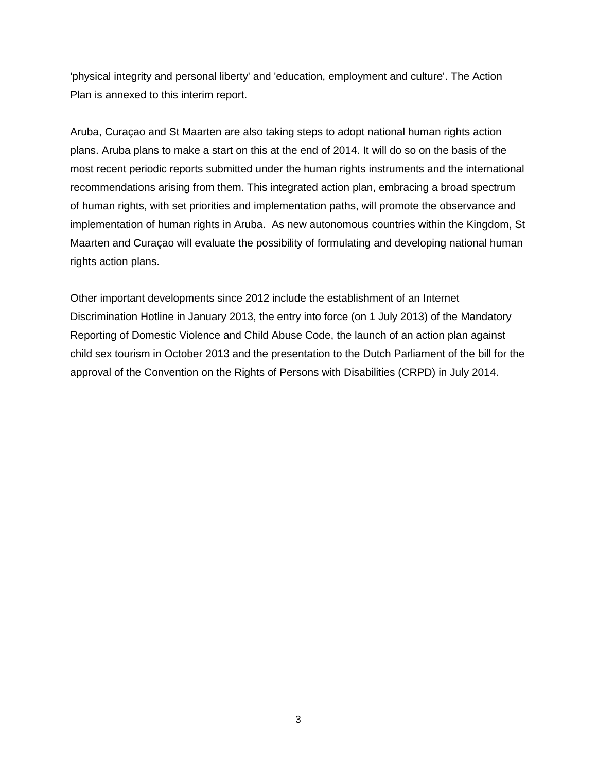'physical integrity and personal liberty' and 'education, employment and culture'. The Action Plan is annexed to this interim report.

Aruba, Curaçao and St Maarten are also taking steps to adopt national human rights action plans. Aruba plans to make a start on this at the end of 2014. It will do so on the basis of the most recent periodic reports submitted under the human rights instruments and the international recommendations arising from them. This integrated action plan, embracing a broad spectrum of human rights, with set priorities and implementation paths, will promote the observance and implementation of human rights in Aruba. As new autonomous countries within the Kingdom, St Maarten and Curaçao will evaluate the possibility of formulating and developing national human rights action plans.

Other important developments since 2012 include the establishment of an Internet Discrimination Hotline in January 2013, the entry into force (on 1 July 2013) of the Mandatory Reporting of Domestic Violence and Child Abuse Code, the launch of an action plan against child sex tourism in October 2013 and the presentation to the Dutch Parliament of the bill for the approval of the Convention on the Rights of Persons with Disabilities (CRPD) in July 2014.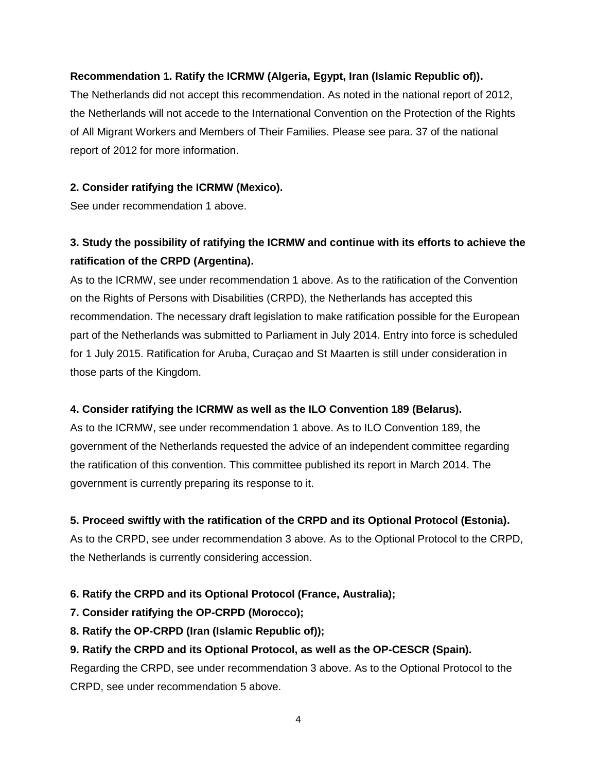#### **Recommendation 1. Ratify the ICRMW (Algeria, Egypt, Iran (Islamic Republic of)).**

The Netherlands did not accept this recommendation. As noted in the national report of 2012, the Netherlands will not accede to the International Convention on the Protection of the Rights of All Migrant Workers and Members of Their Families. Please see para. 37 of the national report of 2012 for more information.

#### **2. Consider ratifying the ICRMW (Mexico).**

See under recommendation 1 above.

### **3. Study the possibility of ratifying the ICRMW and continue with its efforts to achieve the ratification of the CRPD (Argentina).**

As to the ICRMW, see under recommendation 1 above. As to the ratification of the Convention on the Rights of Persons with Disabilities (CRPD), the Netherlands has accepted this recommendation. The necessary draft legislation to make ratification possible for the European part of the Netherlands was submitted to Parliament in July 2014. Entry into force is scheduled for 1 July 2015. Ratification for Aruba, Curaçao and St Maarten is still under consideration in those parts of the Kingdom.

#### **4. Consider ratifying the ICRMW as well as the ILO Convention 189 (Belarus).**

As to the ICRMW, see under recommendation 1 above. As to ILO Convention 189, the government of the Netherlands requested the advice of an independent committee regarding the ratification of this convention. This committee published its report in March 2014. The government is currently preparing its response to it.

#### **5. Proceed swiftly with the ratification of the CRPD and its Optional Protocol (Estonia).**

As to the CRPD, see under recommendation 3 above. As to the Optional Protocol to the CRPD, the Netherlands is currently considering accession.

#### **6. Ratify the CRPD and its Optional Protocol (France, Australia);**

- **7. Consider ratifying the OP-CRPD (Morocco);**
- **8. Ratify the OP-CRPD (Iran (Islamic Republic of));**

#### **9. Ratify the CRPD and its Optional Protocol, as well as the OP-CESCR (Spain).**

Regarding the CRPD, see under recommendation 3 above. As to the Optional Protocol to the CRPD, see under recommendation 5 above.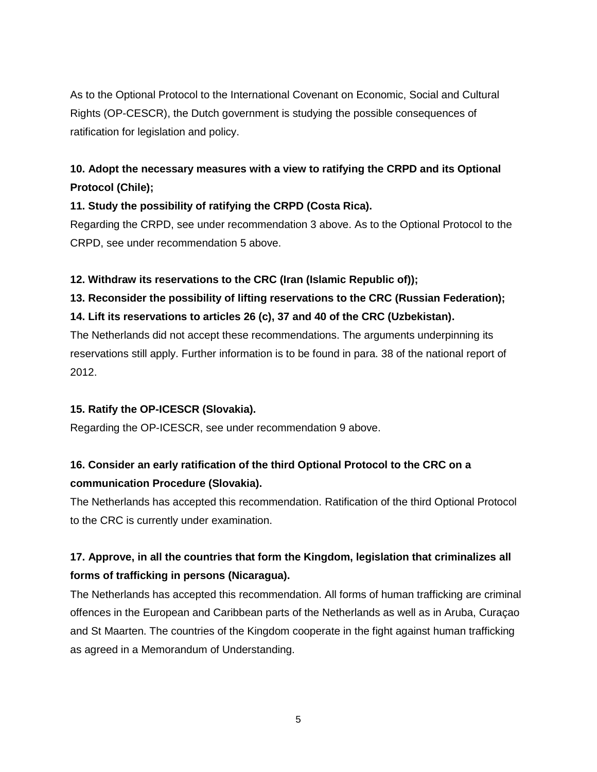As to the Optional Protocol to the International Covenant on Economic, Social and Cultural Rights (OP-CESCR), the Dutch government is studying the possible consequences of ratification for legislation and policy.

### **10. Adopt the necessary measures with a view to ratifying the CRPD and its Optional Protocol (Chile);**

#### **11. Study the possibility of ratifying the CRPD (Costa Rica).**

Regarding the CRPD, see under recommendation 3 above. As to the Optional Protocol to the CRPD, see under recommendation 5 above.

#### **12. Withdraw its reservations to the CRC (Iran (Islamic Republic of));**

**13. Reconsider the possibility of lifting reservations to the CRC (Russian Federation);**

#### **14. Lift its reservations to articles 26 (c), 37 and 40 of the CRC (Uzbekistan).**

The Netherlands did not accept these recommendations. The arguments underpinning its reservations still apply. Further information is to be found in para. 38 of the national report of 2012.

#### **15. Ratify the OP-ICESCR (Slovakia).**

Regarding the OP-ICESCR, see under recommendation 9 above.

### **16. Consider an early ratification of the third Optional Protocol to the CRC on a communication Procedure (Slovakia).**

The Netherlands has accepted this recommendation. Ratification of the third Optional Protocol to the CRC is currently under examination.

## **17. Approve, in all the countries that form the Kingdom, legislation that criminalizes all forms of trafficking in persons (Nicaragua).**

The Netherlands has accepted this recommendation. All forms of human trafficking are criminal offences in the European and Caribbean parts of the Netherlands as well as in Aruba, Curaçao and St Maarten. The countries of the Kingdom cooperate in the fight against human trafficking as agreed in a Memorandum of Understanding.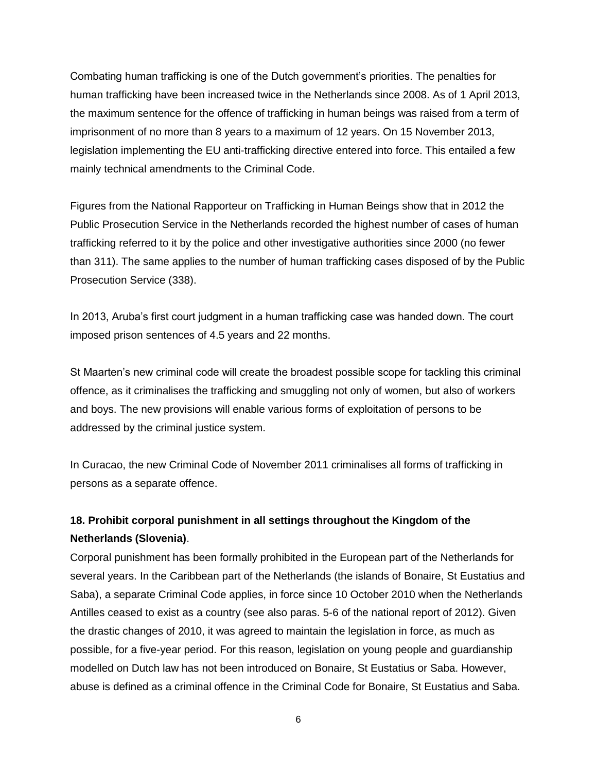Combating human trafficking is one of the Dutch government's priorities. The penalties for human trafficking have been increased twice in the Netherlands since 2008. As of 1 April 2013, the maximum sentence for the offence of trafficking in human beings was raised from a term of imprisonment of no more than 8 years to a maximum of 12 years. On 15 November 2013, legislation implementing the EU anti-trafficking directive entered into force. This entailed a few mainly technical amendments to the Criminal Code.

Figures from the National Rapporteur on Trafficking in Human Beings show that in 2012 the Public Prosecution Service in the Netherlands recorded the highest number of cases of human trafficking referred to it by the police and other investigative authorities since 2000 (no fewer than 311). The same applies to the number of human trafficking cases disposed of by the Public Prosecution Service (338).

In 2013, Aruba's first court judgment in a human trafficking case was handed down. The court imposed prison sentences of 4.5 years and 22 months.

St Maarten's new criminal code will create the broadest possible scope for tackling this criminal offence, as it criminalises the trafficking and smuggling not only of women, but also of workers and boys. The new provisions will enable various forms of exploitation of persons to be addressed by the criminal justice system.

In Curacao, the new Criminal Code of November 2011 criminalises all forms of trafficking in persons as a separate offence.

### **18. Prohibit corporal punishment in all settings throughout the Kingdom of the Netherlands (Slovenia)**.

Corporal punishment has been formally prohibited in the European part of the Netherlands for several years. In the Caribbean part of the Netherlands (the islands of Bonaire, St Eustatius and Saba), a separate Criminal Code applies, in force since 10 October 2010 when the Netherlands Antilles ceased to exist as a country (see also paras. 5-6 of the national report of 2012). Given the drastic changes of 2010, it was agreed to maintain the legislation in force, as much as possible, for a five-year period. For this reason, legislation on young people and guardianship modelled on Dutch law has not been introduced on Bonaire, St Eustatius or Saba. However, abuse is defined as a criminal offence in the Criminal Code for Bonaire, St Eustatius and Saba.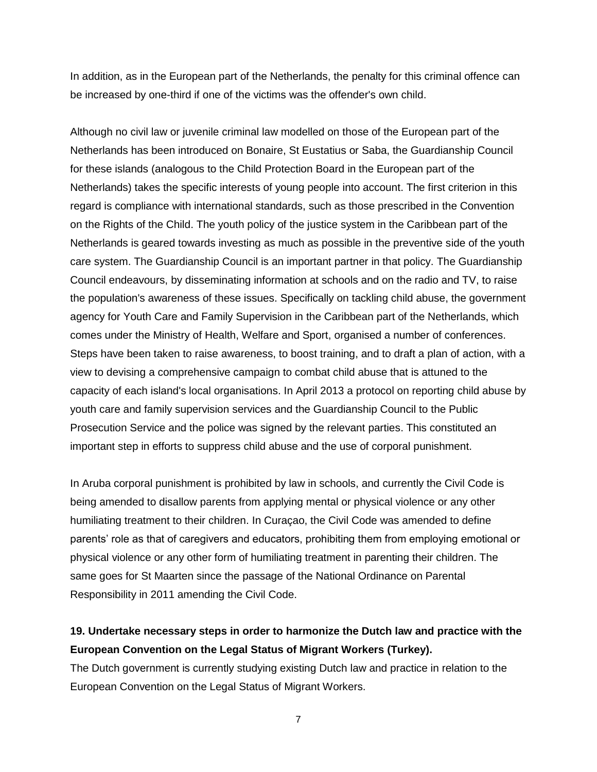In addition, as in the European part of the Netherlands, the penalty for this criminal offence can be increased by one-third if one of the victims was the offender's own child.

Although no civil law or juvenile criminal law modelled on those of the European part of the Netherlands has been introduced on Bonaire, St Eustatius or Saba, the Guardianship Council for these islands (analogous to the Child Protection Board in the European part of the Netherlands) takes the specific interests of young people into account. The first criterion in this regard is compliance with international standards, such as those prescribed in the Convention on the Rights of the Child. The youth policy of the justice system in the Caribbean part of the Netherlands is geared towards investing as much as possible in the preventive side of the youth care system. The Guardianship Council is an important partner in that policy. The Guardianship Council endeavours, by disseminating information at schools and on the radio and TV, to raise the population's awareness of these issues. Specifically on tackling child abuse, the government agency for Youth Care and Family Supervision in the Caribbean part of the Netherlands, which comes under the Ministry of Health, Welfare and Sport, organised a number of conferences. Steps have been taken to raise awareness, to boost training, and to draft a plan of action, with a view to devising a comprehensive campaign to combat child abuse that is attuned to the capacity of each island's local organisations. In April 2013 a protocol on reporting child abuse by youth care and family supervision services and the Guardianship Council to the Public Prosecution Service and the police was signed by the relevant parties. This constituted an important step in efforts to suppress child abuse and the use of corporal punishment.

In Aruba corporal punishment is prohibited by law in schools, and currently the Civil Code is being amended to disallow parents from applying mental or physical violence or any other humiliating treatment to their children. In Curaçao, the Civil Code was amended to define parents' role as that of caregivers and educators, prohibiting them from employing emotional or physical violence or any other form of humiliating treatment in parenting their children. The same goes for St Maarten since the passage of the National Ordinance on Parental Responsibility in 2011 amending the Civil Code.

#### **19. Undertake necessary steps in order to harmonize the Dutch law and practice with the European Convention on the Legal Status of Migrant Workers (Turkey).**

The Dutch government is currently studying existing Dutch law and practice in relation to the European Convention on the Legal Status of Migrant Workers.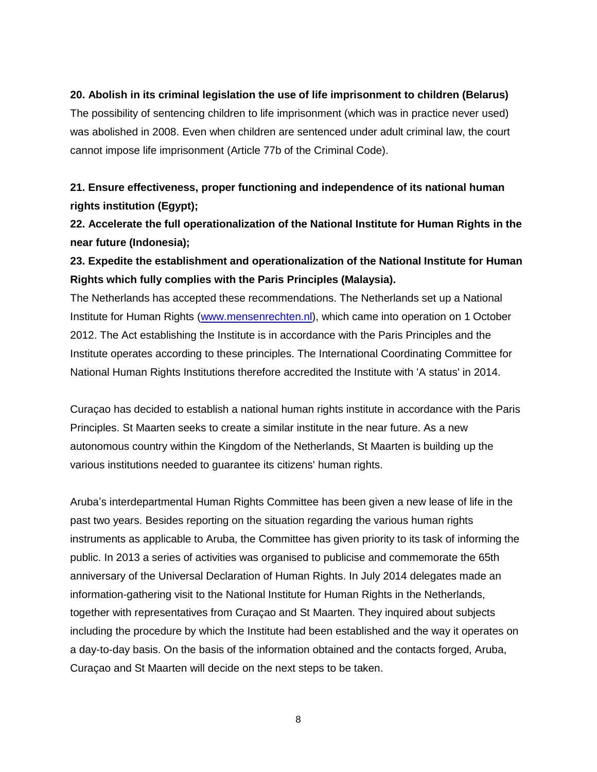#### **20. Abolish in its criminal legislation the use of life imprisonment to children (Belarus)**

The possibility of sentencing children to life imprisonment (which was in practice never used) was abolished in 2008. Even when children are sentenced under adult criminal law, the court cannot impose life imprisonment (Article 77b of the Criminal Code).

### **21. Ensure effectiveness, proper functioning and independence of its national human rights institution (Egypt);**

**22. Accelerate the full operationalization of the National Institute for Human Rights in the near future (Indonesia);**

#### **23. Expedite the establishment and operationalization of the National Institute for Human Rights which fully complies with the Paris Principles (Malaysia).**

The Netherlands has accepted these recommendations. The Netherlands set up a National Institute for Human Rights [\(www.mensenrechten.nl\)](http://www.mensenrechten.nl/), which came into operation on 1 October 2012. The Act establishing the Institute is in accordance with the Paris Principles and the Institute operates according to these principles. The International Coordinating Committee for National Human Rights Institutions therefore accredited the Institute with 'A status' in 2014.

Curaçao has decided to establish a national human rights institute in accordance with the Paris Principles. St Maarten seeks to create a similar institute in the near future. As a new autonomous country within the Kingdom of the Netherlands, St Maarten is building up the various institutions needed to guarantee its citizens' human rights.

Aruba's interdepartmental Human Rights Committee has been given a new lease of life in the past two years. Besides reporting on the situation regarding the various human rights instruments as applicable to Aruba, the Committee has given priority to its task of informing the public. In 2013 a series of activities was organised to publicise and commemorate the 65th anniversary of the Universal Declaration of Human Rights. In July 2014 delegates made an information-gathering visit to the National Institute for Human Rights in the Netherlands, together with representatives from Curaçao and St Maarten. They inquired about subjects including the procedure by which the Institute had been established and the way it operates on a day-to-day basis. On the basis of the information obtained and the contacts forged, Aruba, Curaçao and St Maarten will decide on the next steps to be taken.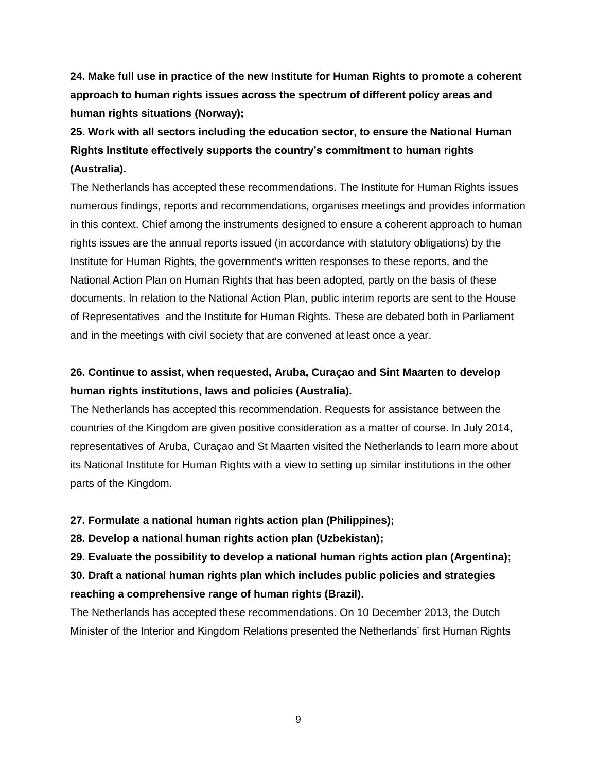**24. Make full use in practice of the new Institute for Human Rights to promote a coherent approach to human rights issues across the spectrum of different policy areas and human rights situations (Norway);**

**25. Work with all sectors including the education sector, to ensure the National Human Rights Institute effectively supports the country's commitment to human rights (Australia).**

The Netherlands has accepted these recommendations. The Institute for Human Rights issues numerous findings, reports and recommendations, organises meetings and provides information in this context. Chief among the instruments designed to ensure a coherent approach to human rights issues are the annual reports issued (in accordance with statutory obligations) by the Institute for Human Rights, the government's written responses to these reports, and the National Action Plan on Human Rights that has been adopted, partly on the basis of these documents. In relation to the National Action Plan, public interim reports are sent to the House of Representatives and the Institute for Human Rights. These are debated both in Parliament and in the meetings with civil society that are convened at least once a year.

### **26. Continue to assist, when requested, Aruba, Curaçao and Sint Maarten to develop human rights institutions, laws and policies (Australia).**

The Netherlands has accepted this recommendation. Requests for assistance between the countries of the Kingdom are given positive consideration as a matter of course. In July 2014, representatives of Aruba, Curaçao and St Maarten visited the Netherlands to learn more about its National Institute for Human Rights with a view to setting up similar institutions in the other parts of the Kingdom.

#### **27. Formulate a national human rights action plan (Philippines);**

**28. Develop a national human rights action plan (Uzbekistan);**

**29. Evaluate the possibility to develop a national human rights action plan (Argentina); 30. Draft a national human rights plan which includes public policies and strategies** 

# **reaching a comprehensive range of human rights (Brazil).**

The Netherlands has accepted these recommendations. On 10 December 2013, the Dutch Minister of the Interior and Kingdom Relations presented the Netherlands' first Human Rights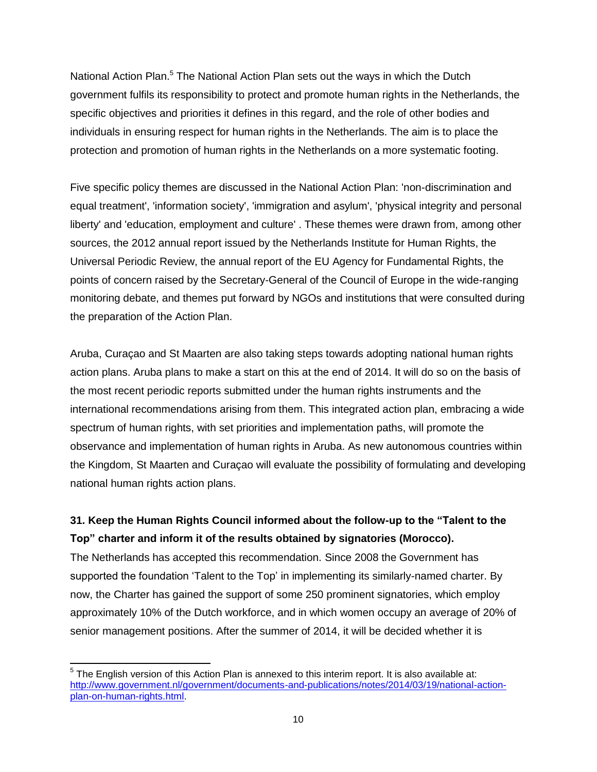National Action Plan.<sup>5</sup> The National Action Plan sets out the ways in which the Dutch government fulfils its responsibility to protect and promote human rights in the Netherlands, the specific objectives and priorities it defines in this regard, and the role of other bodies and individuals in ensuring respect for human rights in the Netherlands. The aim is to place the protection and promotion of human rights in the Netherlands on a more systematic footing.

Five specific policy themes are discussed in the National Action Plan: 'non-discrimination and equal treatment', 'information society', 'immigration and asylum', 'physical integrity and personal liberty' and 'education, employment and culture' . These themes were drawn from, among other sources, the 2012 annual report issued by the Netherlands Institute for Human Rights, the Universal Periodic Review, the annual report of the EU Agency for Fundamental Rights, the points of concern raised by the Secretary-General of the Council of Europe in the wide-ranging monitoring debate, and themes put forward by NGOs and institutions that were consulted during the preparation of the Action Plan.

Aruba, Curaçao and St Maarten are also taking steps towards adopting national human rights action plans. Aruba plans to make a start on this at the end of 2014. It will do so on the basis of the most recent periodic reports submitted under the human rights instruments and the international recommendations arising from them. This integrated action plan, embracing a wide spectrum of human rights, with set priorities and implementation paths, will promote the observance and implementation of human rights in Aruba. As new autonomous countries within the Kingdom, St Maarten and Curaçao will evaluate the possibility of formulating and developing national human rights action plans.

### **31. Keep the Human Rights Council informed about the follow-up to the "Talent to the Top" charter and inform it of the results obtained by signatories (Morocco).**

The Netherlands has accepted this recommendation. Since 2008 the Government has supported the foundation 'Talent to the Top' in implementing its similarly-named charter. By now, the Charter has gained the support of some 250 prominent signatories, which employ approximately 10% of the Dutch workforce, and in which women occupy an average of 20% of senior management positions. After the summer of 2014, it will be decided whether it is

 $\overline{a}$ 

 $5$  The English version of this Action Plan is annexed to this interim report. It is also available at: [http://www.government.nl/government/documents-and-publications/notes/2014/03/19/national-action](http://www.government.nl/government/documents-and-publications/notes/2014/03/19/national-action-plan-on-human-rights.html)[plan-on-human-rights.html.](http://www.government.nl/government/documents-and-publications/notes/2014/03/19/national-action-plan-on-human-rights.html)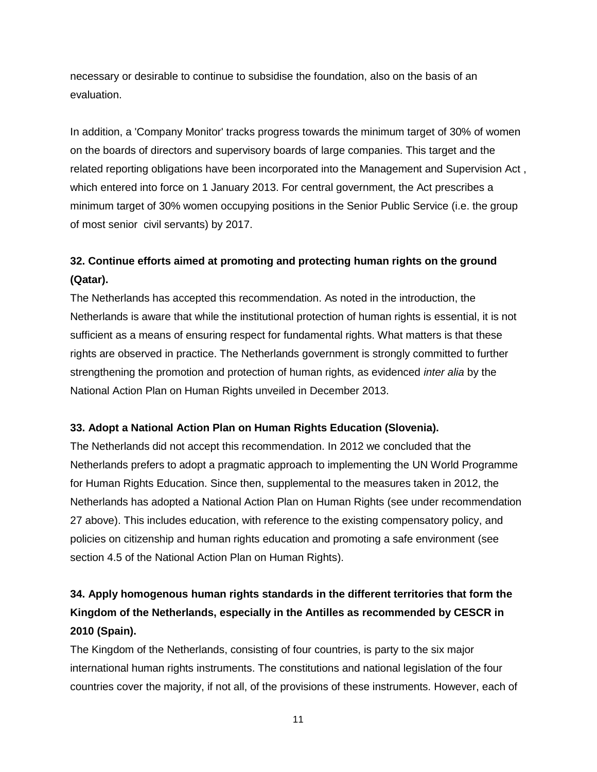necessary or desirable to continue to subsidise the foundation, also on the basis of an evaluation.

In addition, a 'Company Monitor' tracks progress towards the minimum target of 30% of women on the boards of directors and supervisory boards of large companies. This target and the related reporting obligations have been incorporated into the Management and Supervision Act , which entered into force on 1 January 2013. For central government, the Act prescribes a minimum target of 30% women occupying positions in the Senior Public Service (i.e. the group of most senior civil servants) by 2017.

## **32. Continue efforts aimed at promoting and protecting human rights on the ground (Qatar).**

The Netherlands has accepted this recommendation. As noted in the introduction, the Netherlands is aware that while the institutional protection of human rights is essential, it is not sufficient as a means of ensuring respect for fundamental rights. What matters is that these rights are observed in practice. The Netherlands government is strongly committed to further strengthening the promotion and protection of human rights, as evidenced *inter alia* by the National Action Plan on Human Rights unveiled in December 2013.

#### **33. Adopt a National Action Plan on Human Rights Education (Slovenia).**

The Netherlands did not accept this recommendation. In 2012 we concluded that the Netherlands prefers to adopt a pragmatic approach to implementing the UN World Programme for Human Rights Education. Since then, supplemental to the measures taken in 2012, the Netherlands has adopted a National Action Plan on Human Rights (see under recommendation 27 above). This includes education, with reference to the existing compensatory policy, and policies on citizenship and human rights education and promoting a safe environment (see section 4.5 of the National Action Plan on Human Rights).

## **34. Apply homogenous human rights standards in the different territories that form the Kingdom of the Netherlands, especially in the Antilles as recommended by CESCR in 2010 (Spain).**

The Kingdom of the Netherlands, consisting of four countries, is party to the six major international human rights instruments. The constitutions and national legislation of the four countries cover the majority, if not all, of the provisions of these instruments. However, each of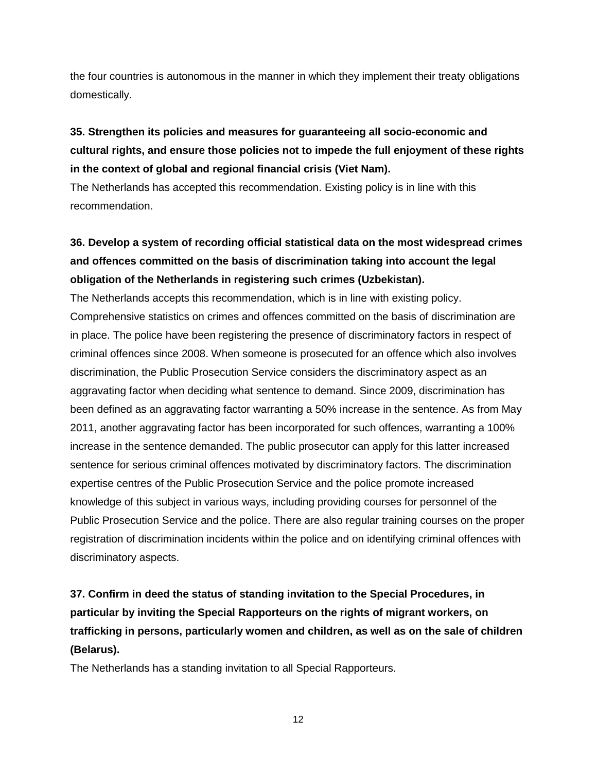the four countries is autonomous in the manner in which they implement their treaty obligations domestically.

## **35. Strengthen its policies and measures for guaranteeing all socio-economic and cultural rights, and ensure those policies not to impede the full enjoyment of these rights in the context of global and regional financial crisis (Viet Nam).**

The Netherlands has accepted this recommendation. Existing policy is in line with this recommendation.

## **36. Develop a system of recording official statistical data on the most widespread crimes and offences committed on the basis of discrimination taking into account the legal obligation of the Netherlands in registering such crimes (Uzbekistan).**

The Netherlands accepts this recommendation, which is in line with existing policy. Comprehensive statistics on crimes and offences committed on the basis of discrimination are in place. The police have been registering the presence of discriminatory factors in respect of criminal offences since 2008. When someone is prosecuted for an offence which also involves discrimination, the Public Prosecution Service considers the discriminatory aspect as an aggravating factor when deciding what sentence to demand. Since 2009, discrimination has been defined as an aggravating factor warranting a 50% increase in the sentence. As from May 2011, another aggravating factor has been incorporated for such offences, warranting a 100% increase in the sentence demanded. The public prosecutor can apply for this latter increased sentence for serious criminal offences motivated by discriminatory factors. The discrimination expertise centres of the Public Prosecution Service and the police promote increased knowledge of this subject in various ways, including providing courses for personnel of the Public Prosecution Service and the police. There are also regular training courses on the proper registration of discrimination incidents within the police and on identifying criminal offences with discriminatory aspects.

## **37. Confirm in deed the status of standing invitation to the Special Procedures, in particular by inviting the Special Rapporteurs on the rights of migrant workers, on trafficking in persons, particularly women and children, as well as on the sale of children (Belarus).**

The Netherlands has a standing invitation to all Special Rapporteurs.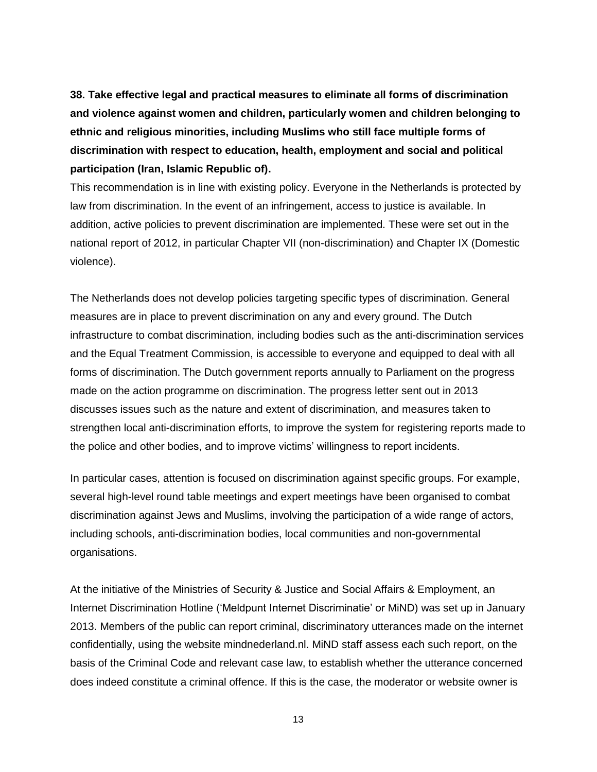**38. Take effective legal and practical measures to eliminate all forms of discrimination and violence against women and children, particularly women and children belonging to ethnic and religious minorities, including Muslims who still face multiple forms of discrimination with respect to education, health, employment and social and political participation (Iran, Islamic Republic of).**

This recommendation is in line with existing policy. Everyone in the Netherlands is protected by law from discrimination. In the event of an infringement, access to justice is available. In addition, active policies to prevent discrimination are implemented. These were set out in the national report of 2012, in particular Chapter VII (non-discrimination) and Chapter IX (Domestic violence).

The Netherlands does not develop policies targeting specific types of discrimination. General measures are in place to prevent discrimination on any and every ground. The Dutch infrastructure to combat discrimination, including bodies such as the anti-discrimination services and the Equal Treatment Commission, is accessible to everyone and equipped to deal with all forms of discrimination. The Dutch government reports annually to Parliament on the progress made on the action programme on discrimination. The progress letter sent out in 2013 discusses issues such as the nature and extent of discrimination, and measures taken to strengthen local anti-discrimination efforts, to improve the system for registering reports made to the police and other bodies, and to improve victims' willingness to report incidents.

In particular cases, attention is focused on discrimination against specific groups. For example, several high-level round table meetings and expert meetings have been organised to combat discrimination against Jews and Muslims, involving the participation of a wide range of actors, including schools, anti-discrimination bodies, local communities and non-governmental organisations.

At the initiative of the Ministries of Security & Justice and Social Affairs & Employment, an Internet Discrimination Hotline ('Meldpunt Internet Discriminatie' or MiND) was set up in January 2013. Members of the public can report criminal, discriminatory utterances made on the internet confidentially, using the website mindnederland.nl. MiND staff assess each such report, on the basis of the Criminal Code and relevant case law, to establish whether the utterance concerned does indeed constitute a criminal offence. If this is the case, the moderator or website owner is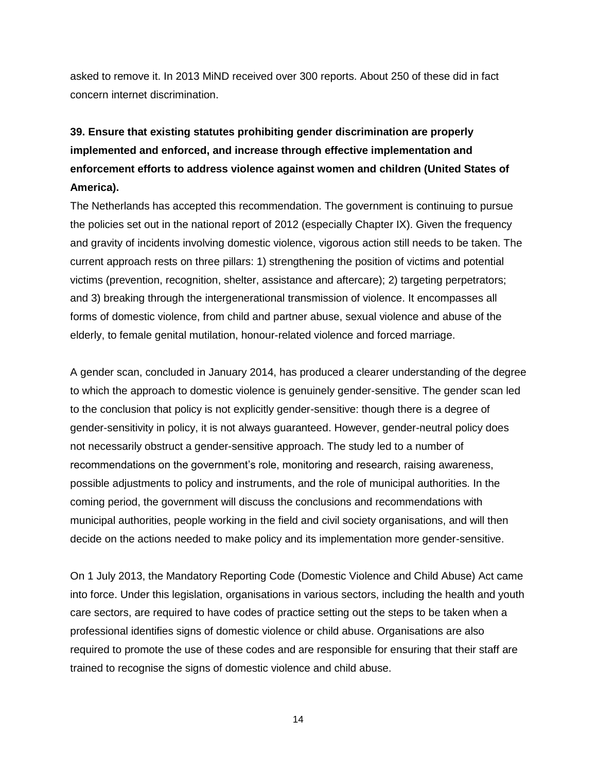asked to remove it. In 2013 MiND received over 300 reports. About 250 of these did in fact concern internet discrimination.

## **39. Ensure that existing statutes prohibiting gender discrimination are properly implemented and enforced, and increase through effective implementation and enforcement efforts to address violence against women and children (United States of America).**

The Netherlands has accepted this recommendation. The government is continuing to pursue the policies set out in the national report of 2012 (especially Chapter IX). Given the frequency and gravity of incidents involving domestic violence, vigorous action still needs to be taken. The current approach rests on three pillars: 1) strengthening the position of victims and potential victims (prevention, recognition, shelter, assistance and aftercare); 2) targeting perpetrators; and 3) breaking through the intergenerational transmission of violence. It encompasses all forms of domestic violence, from child and partner abuse, sexual violence and abuse of the elderly, to female genital mutilation, honour-related violence and forced marriage.

A gender scan, concluded in January 2014, has produced a clearer understanding of the degree to which the approach to domestic violence is genuinely gender-sensitive. The gender scan led to the conclusion that policy is not explicitly gender-sensitive: though there is a degree of gender-sensitivity in policy, it is not always guaranteed. However, gender-neutral policy does not necessarily obstruct a gender-sensitive approach. The study led to a number of recommendations on the government's role, monitoring and research, raising awareness, possible adjustments to policy and instruments, and the role of municipal authorities. In the coming period, the government will discuss the conclusions and recommendations with municipal authorities, people working in the field and civil society organisations, and will then decide on the actions needed to make policy and its implementation more gender-sensitive.

On 1 July 2013, the Mandatory Reporting Code (Domestic Violence and Child Abuse) Act came into force. Under this legislation, organisations in various sectors, including the health and youth care sectors, are required to have codes of practice setting out the steps to be taken when a professional identifies signs of domestic violence or child abuse. Organisations are also required to promote the use of these codes and are responsible for ensuring that their staff are trained to recognise the signs of domestic violence and child abuse.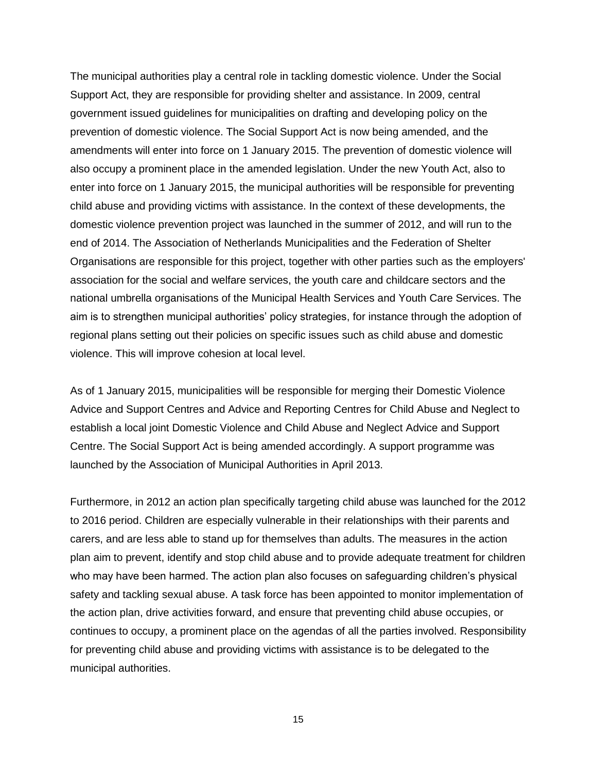The municipal authorities play a central role in tackling domestic violence. Under the Social Support Act, they are responsible for providing shelter and assistance. In 2009, central government issued guidelines for municipalities on drafting and developing policy on the prevention of domestic violence. The Social Support Act is now being amended, and the amendments will enter into force on 1 January 2015. The prevention of domestic violence will also occupy a prominent place in the amended legislation. Under the new Youth Act, also to enter into force on 1 January 2015, the municipal authorities will be responsible for preventing child abuse and providing victims with assistance. In the context of these developments, the domestic violence prevention project was launched in the summer of 2012, and will run to the end of 2014. The Association of Netherlands Municipalities and the Federation of Shelter Organisations are responsible for this project, together with other parties such as the employers' association for the social and welfare services, the youth care and childcare sectors and the national umbrella organisations of the Municipal Health Services and Youth Care Services. The aim is to strengthen municipal authorities' policy strategies, for instance through the adoption of regional plans setting out their policies on specific issues such as child abuse and domestic violence. This will improve cohesion at local level.

As of 1 January 2015, municipalities will be responsible for merging their Domestic Violence Advice and Support Centres and Advice and Reporting Centres for Child Abuse and Neglect to establish a local joint Domestic Violence and Child Abuse and Neglect Advice and Support Centre. The Social Support Act is being amended accordingly. A support programme was launched by the Association of Municipal Authorities in April 2013.

Furthermore, in 2012 an action plan specifically targeting child abuse was launched for the 2012 to 2016 period. Children are especially vulnerable in their relationships with their parents and carers, and are less able to stand up for themselves than adults. The measures in the action plan aim to prevent, identify and stop child abuse and to provide adequate treatment for children who may have been harmed. The action plan also focuses on safeguarding children's physical safety and tackling sexual abuse. A task force has been appointed to monitor implementation of the action plan, drive activities forward, and ensure that preventing child abuse occupies, or continues to occupy, a prominent place on the agendas of all the parties involved. Responsibility for preventing child abuse and providing victims with assistance is to be delegated to the municipal authorities.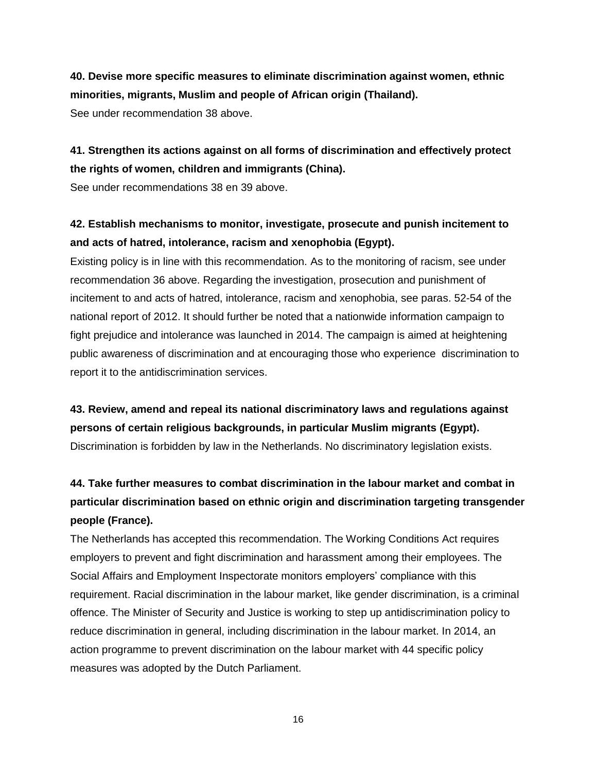## **40. Devise more specific measures to eliminate discrimination against women, ethnic minorities, migrants, Muslim and people of African origin (Thailand).**

See under recommendation 38 above.

### **41. Strengthen its actions against on all forms of discrimination and effectively protect the rights of women, children and immigrants (China).**

See under recommendations 38 en 39 above.

### **42. Establish mechanisms to monitor, investigate, prosecute and punish incitement to and acts of hatred, intolerance, racism and xenophobia (Egypt).**

Existing policy is in line with this recommendation. As to the monitoring of racism, see under recommendation 36 above. Regarding the investigation, prosecution and punishment of incitement to and acts of hatred, intolerance, racism and xenophobia, see paras. 52-54 of the national report of 2012. It should further be noted that a nationwide information campaign to fight prejudice and intolerance was launched in 2014. The campaign is aimed at heightening public awareness of discrimination and at encouraging those who experience discrimination to report it to the antidiscrimination services.

## **43. Review, amend and repeal its national discriminatory laws and regulations against persons of certain religious backgrounds, in particular Muslim migrants (Egypt).** Discrimination is forbidden by law in the Netherlands. No discriminatory legislation exists.

## **44. Take further measures to combat discrimination in the labour market and combat in particular discrimination based on ethnic origin and discrimination targeting transgender people (France).**

The Netherlands has accepted this recommendation. The Working Conditions Act requires employers to prevent and fight discrimination and harassment among their employees. The Social Affairs and Employment Inspectorate monitors employers' compliance with this requirement. Racial discrimination in the labour market, like gender discrimination, is a criminal offence. The Minister of Security and Justice is working to step up antidiscrimination policy to reduce discrimination in general, including discrimination in the labour market. In 2014, an action programme to prevent discrimination on the labour market with 44 specific policy measures was adopted by the Dutch Parliament.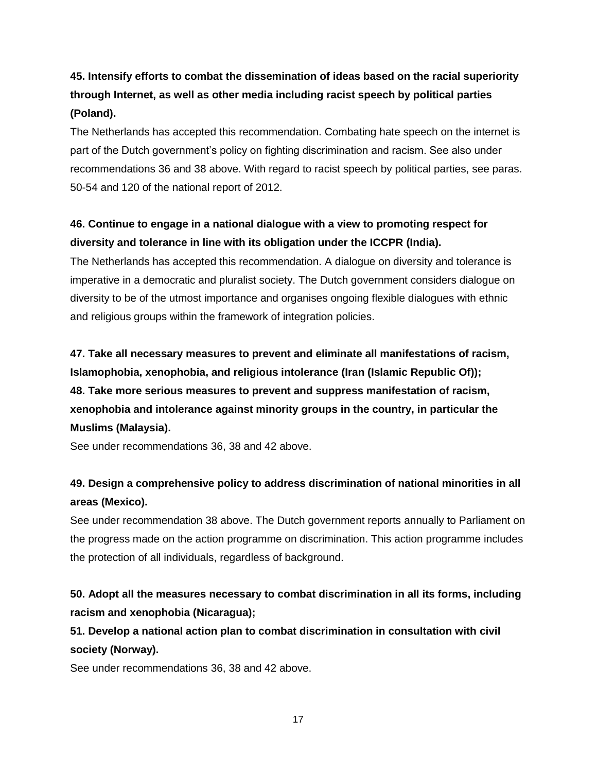## **45. Intensify efforts to combat the dissemination of ideas based on the racial superiority through Internet, as well as other media including racist speech by political parties (Poland).**

The Netherlands has accepted this recommendation. Combating hate speech on the internet is part of the Dutch government's policy on fighting discrimination and racism. See also under recommendations 36 and 38 above. With regard to racist speech by political parties, see paras. 50-54 and 120 of the national report of 2012.

### **46. Continue to engage in a national dialogue with a view to promoting respect for diversity and tolerance in line with its obligation under the ICCPR (India).**

The Netherlands has accepted this recommendation. A dialogue on diversity and tolerance is imperative in a democratic and pluralist society. The Dutch government considers dialogue on diversity to be of the utmost importance and organises ongoing flexible dialogues with ethnic and religious groups within the framework of integration policies.

**47. Take all necessary measures to prevent and eliminate all manifestations of racism, Islamophobia, xenophobia, and religious intolerance (Iran (Islamic Republic Of)); 48. Take more serious measures to prevent and suppress manifestation of racism, xenophobia and intolerance against minority groups in the country, in particular the Muslims (Malaysia).**

See under recommendations 36, 38 and 42 above.

### **49. Design a comprehensive policy to address discrimination of national minorities in all areas (Mexico).**

See under recommendation 38 above. The Dutch government reports annually to Parliament on the progress made on the action programme on discrimination. This action programme includes the protection of all individuals, regardless of background.

### **50. Adopt all the measures necessary to combat discrimination in all its forms, including racism and xenophobia (Nicaragua);**

**51. Develop a national action plan to combat discrimination in consultation with civil society (Norway).**

See under recommendations 36, 38 and 42 above.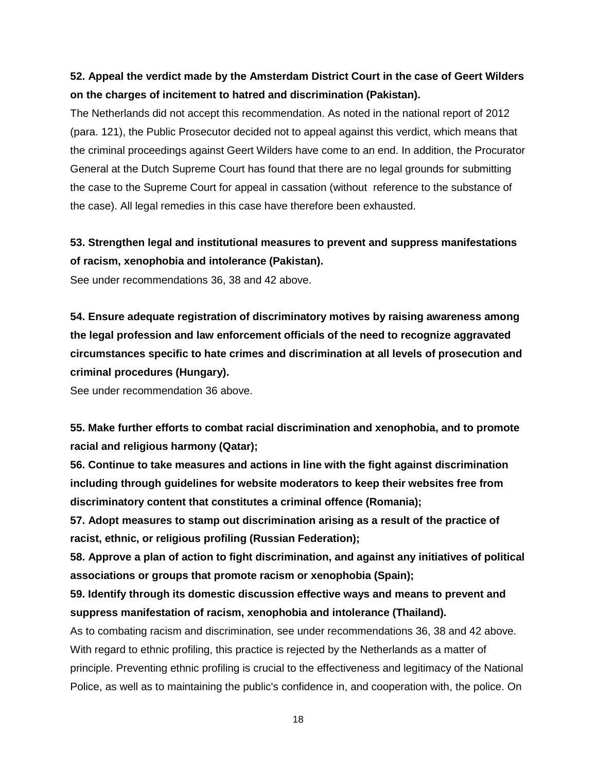### **52. Appeal the verdict made by the Amsterdam District Court in the case of Geert Wilders on the charges of incitement to hatred and discrimination (Pakistan).**

The Netherlands did not accept this recommendation. As noted in the national report of 2012 (para. 121), the Public Prosecutor decided not to appeal against this verdict, which means that the criminal proceedings against Geert Wilders have come to an end. In addition, the Procurator General at the Dutch Supreme Court has found that there are no legal grounds for submitting the case to the Supreme Court for appeal in cassation (without reference to the substance of the case). All legal remedies in this case have therefore been exhausted.

#### **53. Strengthen legal and institutional measures to prevent and suppress manifestations of racism, xenophobia and intolerance (Pakistan).**

See under recommendations 36, 38 and 42 above.

**54. Ensure adequate registration of discriminatory motives by raising awareness among the legal profession and law enforcement officials of the need to recognize aggravated circumstances specific to hate crimes and discrimination at all levels of prosecution and criminal procedures (Hungary).**

See under recommendation 36 above.

**55. Make further efforts to combat racial discrimination and xenophobia, and to promote racial and religious harmony (Qatar);** 

**56. Continue to take measures and actions in line with the fight against discrimination including through guidelines for website moderators to keep their websites free from discriminatory content that constitutes a criminal offence (Romania);** 

**57. Adopt measures to stamp out discrimination arising as a result of the practice of racist, ethnic, or religious profiling (Russian Federation);** 

**58. Approve a plan of action to fight discrimination, and against any initiatives of political associations or groups that promote racism or xenophobia (Spain);** 

**59. Identify through its domestic discussion effective ways and means to prevent and suppress manifestation of racism, xenophobia and intolerance (Thailand).**

As to combating racism and discrimination, see under recommendations 36, 38 and 42 above. With regard to ethnic profiling, this practice is rejected by the Netherlands as a matter of principle. Preventing ethnic profiling is crucial to the effectiveness and legitimacy of the National Police, as well as to maintaining the public's confidence in, and cooperation with, the police. On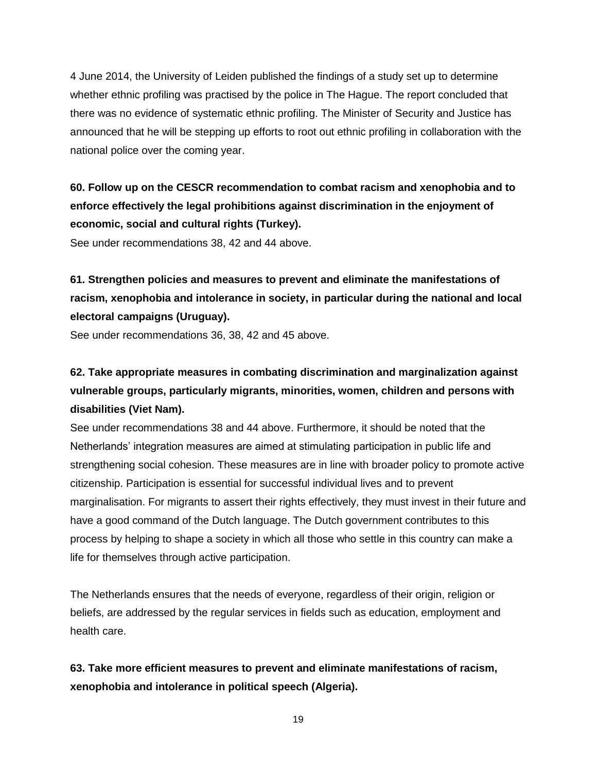4 June 2014, the University of Leiden published the findings of a study set up to determine whether ethnic profiling was practised by the police in The Hague. The report concluded that there was no evidence of systematic ethnic profiling. The Minister of Security and Justice has announced that he will be stepping up efforts to root out ethnic profiling in collaboration with the national police over the coming year.

## **60. Follow up on the CESCR recommendation to combat racism and xenophobia and to enforce effectively the legal prohibitions against discrimination in the enjoyment of economic, social and cultural rights (Turkey).**

See under recommendations 38, 42 and 44 above.

## **61. Strengthen policies and measures to prevent and eliminate the manifestations of racism, xenophobia and intolerance in society, in particular during the national and local electoral campaigns (Uruguay).**

See under recommendations 36, 38, 42 and 45 above.

## **62. Take appropriate measures in combating discrimination and marginalization against vulnerable groups, particularly migrants, minorities, women, children and persons with disabilities (Viet Nam).**

See under recommendations 38 and 44 above. Furthermore, it should be noted that the Netherlands' integration measures are aimed at stimulating participation in public life and strengthening social cohesion. These measures are in line with broader policy to promote active citizenship. Participation is essential for successful individual lives and to prevent marginalisation. For migrants to assert their rights effectively, they must invest in their future and have a good command of the Dutch language. The Dutch government contributes to this process by helping to shape a society in which all those who settle in this country can make a life for themselves through active participation.

The Netherlands ensures that the needs of everyone, regardless of their origin, religion or beliefs, are addressed by the regular services in fields such as education, employment and health care.

**63. Take more efficient measures to prevent and eliminate manifestations of racism, xenophobia and intolerance in political speech (Algeria).**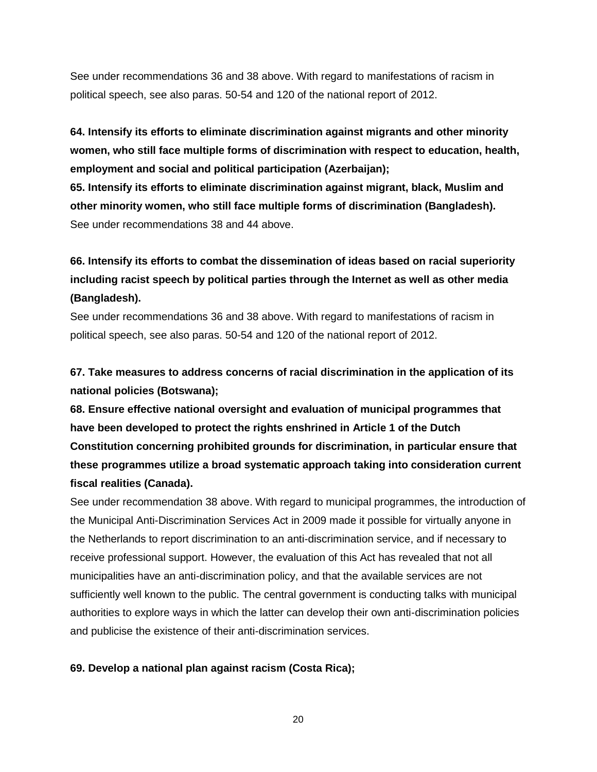See under recommendations 36 and 38 above. With regard to manifestations of racism in political speech, see also paras. 50-54 and 120 of the national report of 2012.

**64. Intensify its efforts to eliminate discrimination against migrants and other minority women, who still face multiple forms of discrimination with respect to education, health, employment and social and political participation (Azerbaijan);** 

**65. Intensify its efforts to eliminate discrimination against migrant, black, Muslim and other minority women, who still face multiple forms of discrimination (Bangladesh).** See under recommendations 38 and 44 above.

## **66. Intensify its efforts to combat the dissemination of ideas based on racial superiority including racist speech by political parties through the Internet as well as other media (Bangladesh).**

See under recommendations 36 and 38 above. With regard to manifestations of racism in political speech, see also paras. 50-54 and 120 of the national report of 2012.

**67. Take measures to address concerns of racial discrimination in the application of its national policies (Botswana);** 

**68. Ensure effective national oversight and evaluation of municipal programmes that have been developed to protect the rights enshrined in Article 1 of the Dutch Constitution concerning prohibited grounds for discrimination, in particular ensure that these programmes utilize a broad systematic approach taking into consideration current fiscal realities (Canada).**

See under recommendation 38 above. With regard to municipal programmes, the introduction of the Municipal Anti-Discrimination Services Act in 2009 made it possible for virtually anyone in the Netherlands to report discrimination to an anti-discrimination service, and if necessary to receive professional support. However, the evaluation of this Act has revealed that not all municipalities have an anti-discrimination policy, and that the available services are not sufficiently well known to the public. The central government is conducting talks with municipal authorities to explore ways in which the latter can develop their own anti-discrimination policies and publicise the existence of their anti-discrimination services.

#### **69. Develop a national plan against racism (Costa Rica);**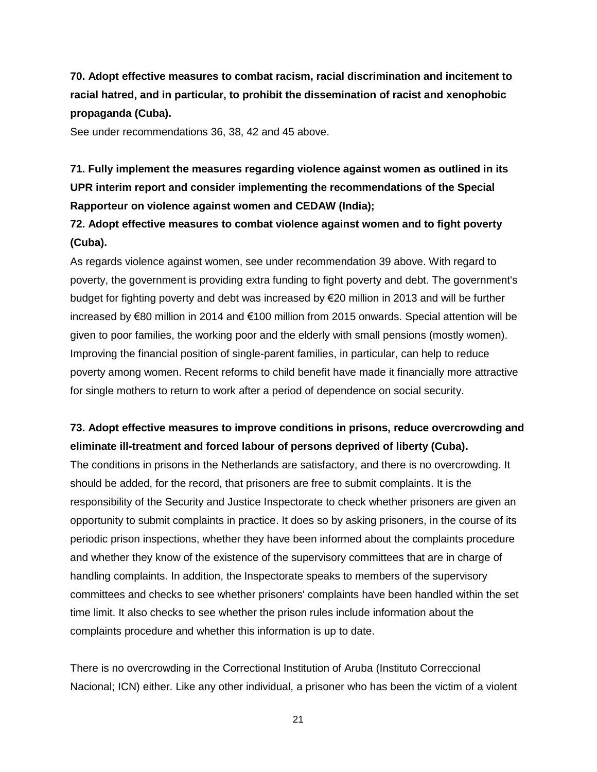**70. Adopt effective measures to combat racism, racial discrimination and incitement to racial hatred, and in particular, to prohibit the dissemination of racist and xenophobic propaganda (Cuba).**

See under recommendations 36, 38, 42 and 45 above.

## **71. Fully implement the measures regarding violence against women as outlined in its UPR interim report and consider implementing the recommendations of the Special Rapporteur on violence against women and CEDAW (India);**

#### **72. Adopt effective measures to combat violence against women and to fight poverty (Cuba).**

As regards violence against women, see under recommendation 39 above. With regard to poverty, the government is providing extra funding to fight poverty and debt. The government's budget for fighting poverty and debt was increased by €20 million in 2013 and will be further increased by €80 million in 2014 and €100 million from 2015 onwards. Special attention will be given to poor families, the working poor and the elderly with small pensions (mostly women). Improving the financial position of single-parent families, in particular, can help to reduce poverty among women. Recent reforms to child benefit have made it financially more attractive for single mothers to return to work after a period of dependence on social security.

#### **73. Adopt effective measures to improve conditions in prisons, reduce overcrowding and eliminate ill-treatment and forced labour of persons deprived of liberty (Cuba).**

The conditions in prisons in the Netherlands are satisfactory, and there is no overcrowding. It should be added, for the record, that prisoners are free to submit complaints. It is the responsibility of the Security and Justice Inspectorate to check whether prisoners are given an opportunity to submit complaints in practice. It does so by asking prisoners, in the course of its periodic prison inspections, whether they have been informed about the complaints procedure and whether they know of the existence of the supervisory committees that are in charge of handling complaints. In addition, the Inspectorate speaks to members of the supervisory committees and checks to see whether prisoners' complaints have been handled within the set time limit. It also checks to see whether the prison rules include information about the complaints procedure and whether this information is up to date.

There is no overcrowding in the Correctional Institution of Aruba (Instituto Correccional Nacional; ICN) either. Like any other individual, a prisoner who has been the victim of a violent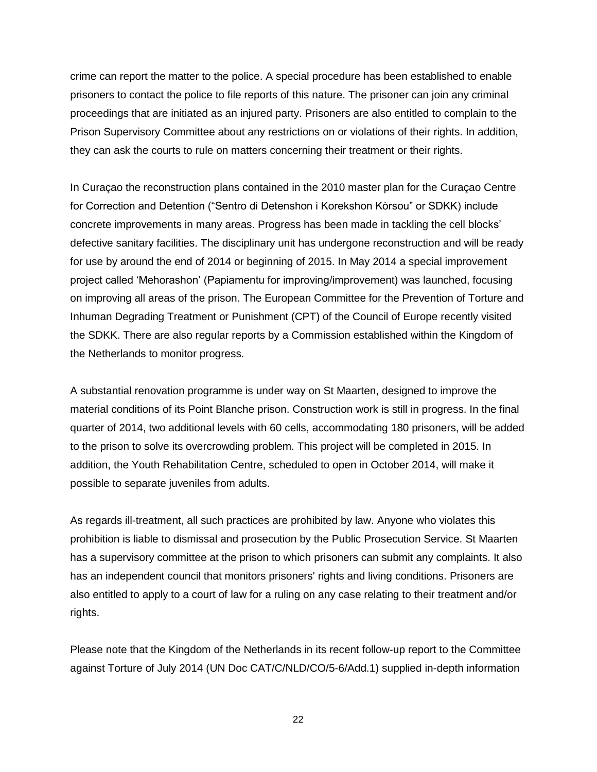crime can report the matter to the police. A special procedure has been established to enable prisoners to contact the police to file reports of this nature. The prisoner can join any criminal proceedings that are initiated as an injured party. Prisoners are also entitled to complain to the Prison Supervisory Committee about any restrictions on or violations of their rights. In addition, they can ask the courts to rule on matters concerning their treatment or their rights.

In Curaçao the reconstruction plans contained in the 2010 master plan for the Curaçao Centre for Correction and Detention ("Sentro di Detenshon i Korekshon Kòrsou" or SDKK) include concrete improvements in many areas. Progress has been made in tackling the cell blocks' defective sanitary facilities. The disciplinary unit has undergone reconstruction and will be ready for use by around the end of 2014 or beginning of 2015. In May 2014 a special improvement project called 'Mehorashon' (Papiamentu for improving/improvement) was launched, focusing on improving all areas of the prison. The European Committee for the Prevention of Torture and Inhuman Degrading Treatment or Punishment (CPT) of the Council of Europe recently visited the SDKK. There are also regular reports by a Commission established within the Kingdom of the Netherlands to monitor progress.

A substantial renovation programme is under way on St Maarten, designed to improve the material conditions of its Point Blanche prison. Construction work is still in progress. In the final quarter of 2014, two additional levels with 60 cells, accommodating 180 prisoners, will be added to the prison to solve its overcrowding problem. This project will be completed in 2015. In addition, the Youth Rehabilitation Centre, scheduled to open in October 2014, will make it possible to separate juveniles from adults.

As regards ill-treatment, all such practices are prohibited by law. Anyone who violates this prohibition is liable to dismissal and prosecution by the Public Prosecution Service. St Maarten has a supervisory committee at the prison to which prisoners can submit any complaints. It also has an independent council that monitors prisoners' rights and living conditions. Prisoners are also entitled to apply to a court of law for a ruling on any case relating to their treatment and/or rights.

Please note that the Kingdom of the Netherlands in its recent follow-up report to the Committee against Torture of July 2014 (UN Doc CAT/C/NLD/CO/5-6/Add.1) supplied in-depth information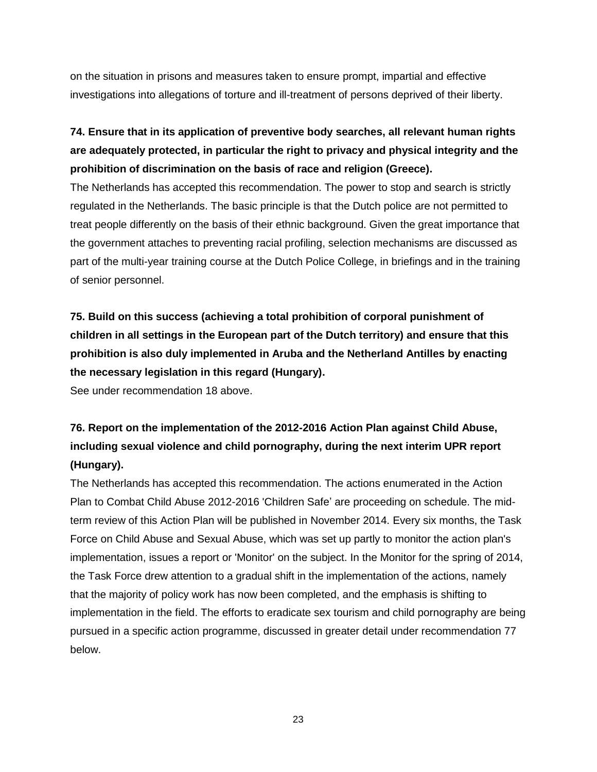on the situation in prisons and measures taken to ensure prompt, impartial and effective investigations into allegations of torture and ill-treatment of persons deprived of their liberty.

## **74. Ensure that in its application of preventive body searches, all relevant human rights are adequately protected, in particular the right to privacy and physical integrity and the prohibition of discrimination on the basis of race and religion (Greece).**

The Netherlands has accepted this recommendation. The power to stop and search is strictly regulated in the Netherlands. The basic principle is that the Dutch police are not permitted to treat people differently on the basis of their ethnic background. Given the great importance that the government attaches to preventing racial profiling, selection mechanisms are discussed as part of the multi-year training course at the Dutch Police College, in briefings and in the training of senior personnel.

**75. Build on this success (achieving a total prohibition of corporal punishment of children in all settings in the European part of the Dutch territory) and ensure that this prohibition is also duly implemented in Aruba and the Netherland Antilles by enacting the necessary legislation in this regard (Hungary).**

See under recommendation 18 above.

## **76. Report on the implementation of the 2012-2016 Action Plan against Child Abuse, including sexual violence and child pornography, during the next interim UPR report (Hungary).**

The Netherlands has accepted this recommendation. The actions enumerated in the Action Plan to Combat Child Abuse 2012-2016 'Children Safe' are proceeding on schedule. The midterm review of this Action Plan will be published in November 2014. Every six months, the Task Force on Child Abuse and Sexual Abuse, which was set up partly to monitor the action plan's implementation, issues a report or 'Monitor' on the subject. In the Monitor for the spring of 2014, the Task Force drew attention to a gradual shift in the implementation of the actions, namely that the majority of policy work has now been completed, and the emphasis is shifting to implementation in the field. The efforts to eradicate sex tourism and child pornography are being pursued in a specific action programme, discussed in greater detail under recommendation 77 below.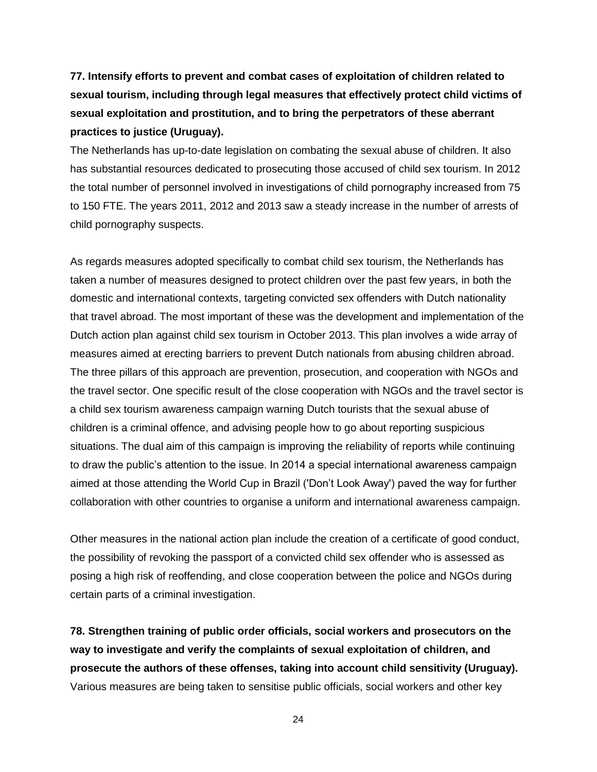**77. Intensify efforts to prevent and combat cases of exploitation of children related to sexual tourism, including through legal measures that effectively protect child victims of sexual exploitation and prostitution, and to bring the perpetrators of these aberrant practices to justice (Uruguay).**

The Netherlands has up-to-date legislation on combating the sexual abuse of children. It also has substantial resources dedicated to prosecuting those accused of child sex tourism. In 2012 the total number of personnel involved in investigations of child pornography increased from 75 to 150 FTE. The years 2011, 2012 and 2013 saw a steady increase in the number of arrests of child pornography suspects.

As regards measures adopted specifically to combat child sex tourism, the Netherlands has taken a number of measures designed to protect children over the past few years, in both the domestic and international contexts, targeting convicted sex offenders with Dutch nationality that travel abroad. The most important of these was the development and implementation of the Dutch action plan against child sex tourism in October 2013. This plan involves a wide array of measures aimed at erecting barriers to prevent Dutch nationals from abusing children abroad. The three pillars of this approach are prevention, prosecution, and cooperation with NGOs and the travel sector. One specific result of the close cooperation with NGOs and the travel sector is a child sex tourism awareness campaign warning Dutch tourists that the sexual abuse of children is a criminal offence, and advising people how to go about reporting suspicious situations. The dual aim of this campaign is improving the reliability of reports while continuing to draw the public's attention to the issue. In 2014 a special international awareness campaign aimed at those attending the World Cup in Brazil ('Don't Look Away') paved the way for further collaboration with other countries to organise a uniform and international awareness campaign.

Other measures in the national action plan include the creation of a certificate of good conduct, the possibility of revoking the passport of a convicted child sex offender who is assessed as posing a high risk of reoffending, and close cooperation between the police and NGOs during certain parts of a criminal investigation.

**78. Strengthen training of public order officials, social workers and prosecutors on the way to investigate and verify the complaints of sexual exploitation of children, and prosecute the authors of these offenses, taking into account child sensitivity (Uruguay).** Various measures are being taken to sensitise public officials, social workers and other key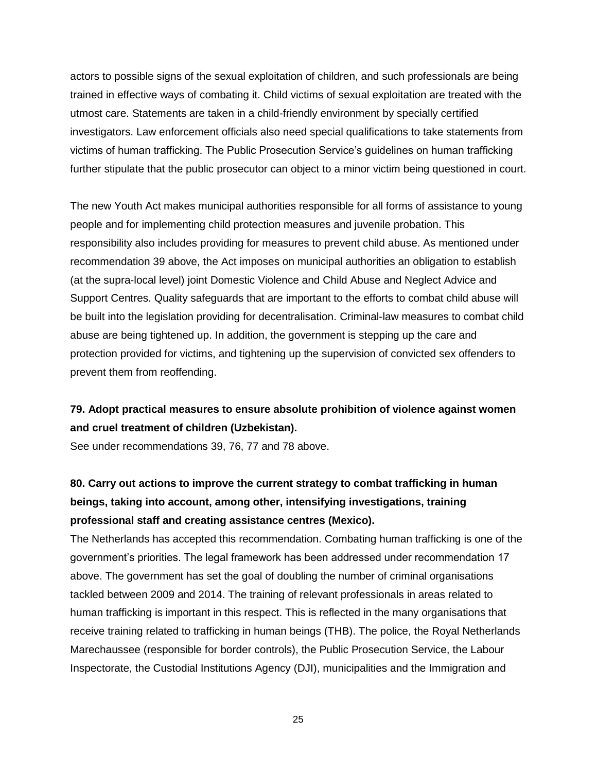actors to possible signs of the sexual exploitation of children, and such professionals are being trained in effective ways of combating it. Child victims of sexual exploitation are treated with the utmost care. Statements are taken in a child-friendly environment by specially certified investigators. Law enforcement officials also need special qualifications to take statements from victims of human trafficking. The Public Prosecution Service's guidelines on human trafficking further stipulate that the public prosecutor can object to a minor victim being questioned in court.

The new Youth Act makes municipal authorities responsible for all forms of assistance to young people and for implementing child protection measures and juvenile probation. This responsibility also includes providing for measures to prevent child abuse. As mentioned under recommendation 39 above, the Act imposes on municipal authorities an obligation to establish (at the supra-local level) joint Domestic Violence and Child Abuse and Neglect Advice and Support Centres. Quality safeguards that are important to the efforts to combat child abuse will be built into the legislation providing for decentralisation. Criminal-law measures to combat child abuse are being tightened up. In addition, the government is stepping up the care and protection provided for victims, and tightening up the supervision of convicted sex offenders to prevent them from reoffending.

#### **79. Adopt practical measures to ensure absolute prohibition of violence against women and cruel treatment of children (Uzbekistan).**

See under recommendations 39, 76, 77 and 78 above.

## **80. Carry out actions to improve the current strategy to combat trafficking in human beings, taking into account, among other, intensifying investigations, training professional staff and creating assistance centres (Mexico).**

The Netherlands has accepted this recommendation. Combating human trafficking is one of the government's priorities. The legal framework has been addressed under recommendation 17 above. The government has set the goal of doubling the number of criminal organisations tackled between 2009 and 2014. The training of relevant professionals in areas related to human trafficking is important in this respect. This is reflected in the many organisations that receive training related to trafficking in human beings (THB). The police, the Royal Netherlands Marechaussee (responsible for border controls), the Public Prosecution Service, the Labour Inspectorate, the Custodial Institutions Agency (DJI), municipalities and the Immigration and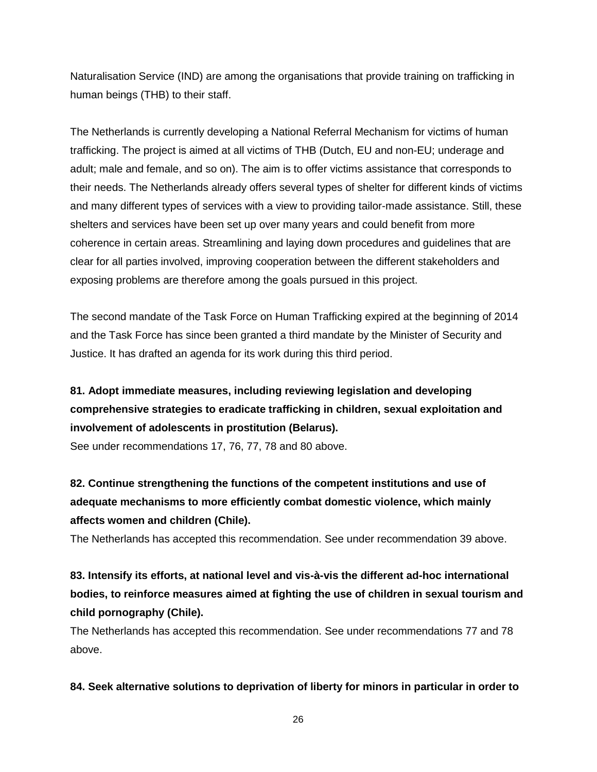Naturalisation Service (IND) are among the organisations that provide training on trafficking in human beings (THB) to their staff.

The Netherlands is currently developing a National Referral Mechanism for victims of human trafficking. The project is aimed at all victims of THB (Dutch, EU and non-EU; underage and adult; male and female, and so on). The aim is to offer victims assistance that corresponds to their needs. The Netherlands already offers several types of shelter for different kinds of victims and many different types of services with a view to providing tailor-made assistance. Still, these shelters and services have been set up over many years and could benefit from more coherence in certain areas. Streamlining and laying down procedures and guidelines that are clear for all parties involved, improving cooperation between the different stakeholders and exposing problems are therefore among the goals pursued in this project.

The second mandate of the Task Force on Human Trafficking expired at the beginning of 2014 and the Task Force has since been granted a third mandate by the Minister of Security and Justice. It has drafted an agenda for its work during this third period.

## **81. Adopt immediate measures, including reviewing legislation and developing comprehensive strategies to eradicate trafficking in children, sexual exploitation and involvement of adolescents in prostitution (Belarus).**

See under recommendations 17, 76, 77, 78 and 80 above.

**82. Continue strengthening the functions of the competent institutions and use of adequate mechanisms to more efficiently combat domestic violence, which mainly affects women and children (Chile).**

The Netherlands has accepted this recommendation. See under recommendation 39 above.

**83. Intensify its efforts, at national level and vis-à-vis the different ad-hoc international bodies, to reinforce measures aimed at fighting the use of children in sexual tourism and child pornography (Chile).**

The Netherlands has accepted this recommendation. See under recommendations 77 and 78 above.

#### **84. Seek alternative solutions to deprivation of liberty for minors in particular in order to**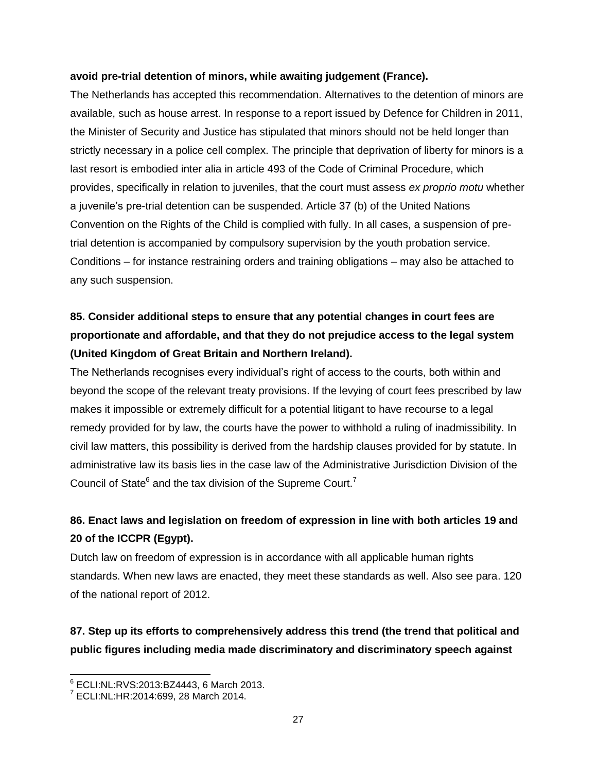#### **avoid pre-trial detention of minors, while awaiting judgement (France).**

The Netherlands has accepted this recommendation. Alternatives to the detention of minors are available, such as house arrest. In response to a report issued by Defence for Children in 2011, the Minister of Security and Justice has stipulated that minors should not be held longer than strictly necessary in a police cell complex. The principle that deprivation of liberty for minors is a last resort is embodied inter alia in article 493 of the Code of Criminal Procedure, which provides, specifically in relation to juveniles, that the court must assess *ex proprio motu* whether a juvenile's pre-trial detention can be suspended. Article 37 (b) of the United Nations Convention on the Rights of the Child is complied with fully. In all cases, a suspension of pretrial detention is accompanied by compulsory supervision by the youth probation service. Conditions – for instance restraining orders and training obligations – may also be attached to any such suspension.

## **85. Consider additional steps to ensure that any potential changes in court fees are proportionate and affordable, and that they do not prejudice access to the legal system (United Kingdom of Great Britain and Northern Ireland).**

The Netherlands recognises every individual's right of access to the courts, both within and beyond the scope of the relevant treaty provisions. If the levying of court fees prescribed by law makes it impossible or extremely difficult for a potential litigant to have recourse to a legal remedy provided for by law, the courts have the power to withhold a ruling of inadmissibility. In civil law matters, this possibility is derived from the hardship clauses provided for by statute. In administrative law its basis lies in the case law of the Administrative Jurisdiction Division of the Council of State $^6$  and the tax division of the Supreme Court.<sup>7</sup>

### **86. Enact laws and legislation on freedom of expression in line with both articles 19 and 20 of the ICCPR (Egypt).**

Dutch law on freedom of expression is in accordance with all applicable human rights standards. When new laws are enacted, they meet these standards as well. Also see para. 120 of the national report of 2012.

### **87. Step up its efforts to comprehensively address this trend (the trend that political and public figures including media made discriminatory and discriminatory speech against**

<sup>6</sup> ECLI:NL:RVS:2013:BZ4443, 6 March 2013.

<sup>7</sup> ECLI:NL:HR:2014:699, 28 March 2014.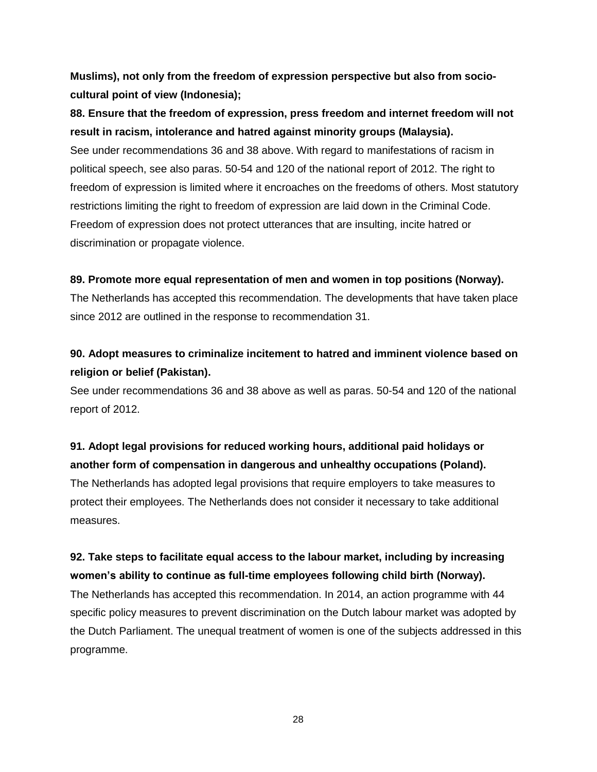**Muslims), not only from the freedom of expression perspective but also from sociocultural point of view (Indonesia);**

**88. Ensure that the freedom of expression, press freedom and internet freedom will not result in racism, intolerance and hatred against minority groups (Malaysia).**

See under recommendations 36 and 38 above. With regard to manifestations of racism in political speech, see also paras. 50-54 and 120 of the national report of 2012. The right to freedom of expression is limited where it encroaches on the freedoms of others. Most statutory restrictions limiting the right to freedom of expression are laid down in the Criminal Code. Freedom of expression does not protect utterances that are insulting, incite hatred or discrimination or propagate violence.

#### **89. Promote more equal representation of men and women in top positions (Norway).**

The Netherlands has accepted this recommendation. The developments that have taken place since 2012 are outlined in the response to recommendation 31.

### **90. Adopt measures to criminalize incitement to hatred and imminent violence based on religion or belief (Pakistan).**

See under recommendations 36 and 38 above as well as paras. 50-54 and 120 of the national report of 2012.

### **91. Adopt legal provisions for reduced working hours, additional paid holidays or another form of compensation in dangerous and unhealthy occupations (Poland).**

The Netherlands has adopted legal provisions that require employers to take measures to protect their employees. The Netherlands does not consider it necessary to take additional measures.

### **92. Take steps to facilitate equal access to the labour market, including by increasing women's ability to continue as full-time employees following child birth (Norway).**

The Netherlands has accepted this recommendation. In 2014, an action programme with 44 specific policy measures to prevent discrimination on the Dutch labour market was adopted by the Dutch Parliament. The unequal treatment of women is one of the subjects addressed in this programme.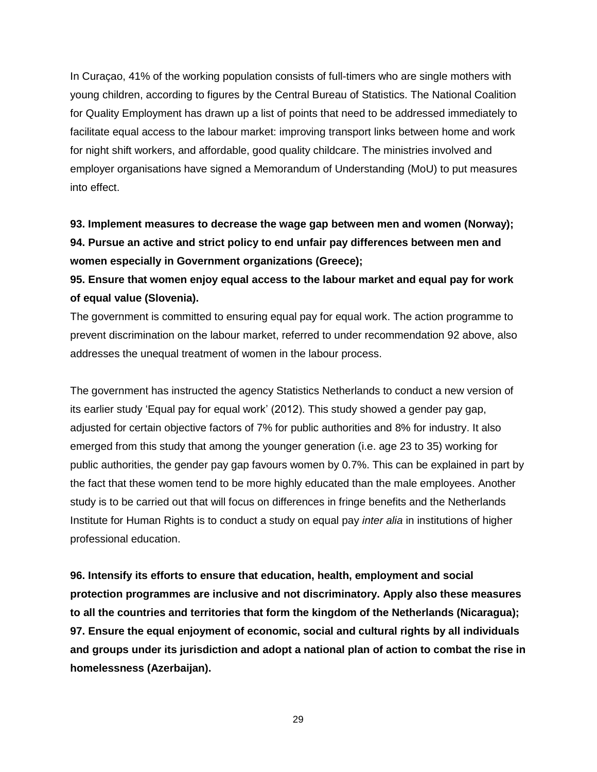In Curaçao, 41% of the working population consists of full-timers who are single mothers with young children, according to figures by the Central Bureau of Statistics. The National Coalition for Quality Employment has drawn up a list of points that need to be addressed immediately to facilitate equal access to the labour market: improving transport links between home and work for night shift workers, and affordable, good quality childcare. The ministries involved and employer organisations have signed a Memorandum of Understanding (MoU) to put measures into effect.

**93. Implement measures to decrease the wage gap between men and women (Norway); 94. Pursue an active and strict policy to end unfair pay differences between men and women especially in Government organizations (Greece);**

**95. Ensure that women enjoy equal access to the labour market and equal pay for work of equal value (Slovenia).**

The government is committed to ensuring equal pay for equal work. The action programme to prevent discrimination on the labour market, referred to under recommendation 92 above, also addresses the unequal treatment of women in the labour process.

The government has instructed the agency Statistics Netherlands to conduct a new version of its earlier study 'Equal pay for equal work' (2012). This study showed a gender pay gap, adjusted for certain objective factors of 7% for public authorities and 8% for industry. It also emerged from this study that among the younger generation (i.e. age 23 to 35) working for public authorities, the gender pay gap favours women by 0.7%. This can be explained in part by the fact that these women tend to be more highly educated than the male employees. Another study is to be carried out that will focus on differences in fringe benefits and the Netherlands Institute for Human Rights is to conduct a study on equal pay *inter alia* in institutions of higher professional education.

**96. Intensify its efforts to ensure that education, health, employment and social protection programmes are inclusive and not discriminatory. Apply also these measures to all the countries and territories that form the kingdom of the Netherlands (Nicaragua); 97. Ensure the equal enjoyment of economic, social and cultural rights by all individuals and groups under its jurisdiction and adopt a national plan of action to combat the rise in homelessness (Azerbaijan).**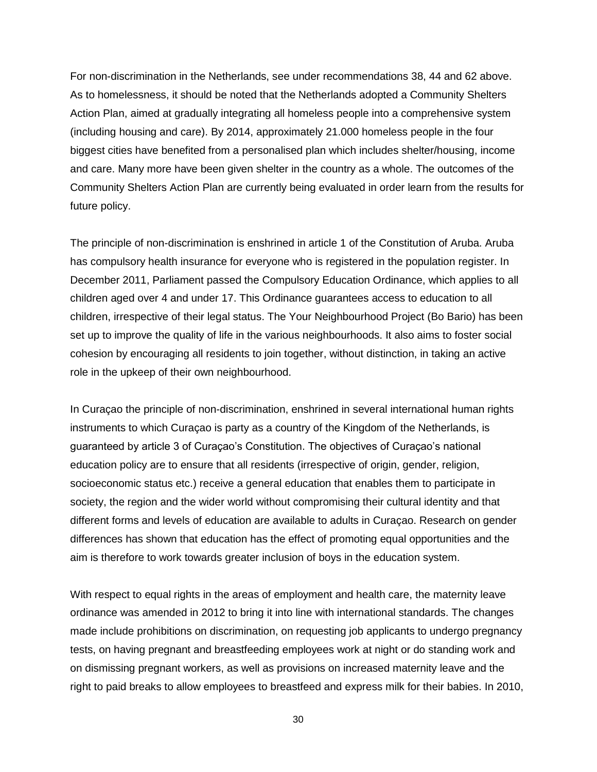For non-discrimination in the Netherlands, see under recommendations 38, 44 and 62 above. As to homelessness, it should be noted that the Netherlands adopted a Community Shelters Action Plan, aimed at gradually integrating all homeless people into a comprehensive system (including housing and care). By 2014, approximately 21.000 homeless people in the four biggest cities have benefited from a personalised plan which includes shelter/housing, income and care. Many more have been given shelter in the country as a whole. The outcomes of the Community Shelters Action Plan are currently being evaluated in order learn from the results for future policy.

The principle of non-discrimination is enshrined in article 1 of the Constitution of Aruba. Aruba has compulsory health insurance for everyone who is registered in the population register. In December 2011, Parliament passed the Compulsory Education Ordinance, which applies to all children aged over 4 and under 17. This Ordinance guarantees access to education to all children, irrespective of their legal status. The Your Neighbourhood Project (Bo Bario) has been set up to improve the quality of life in the various neighbourhoods. It also aims to foster social cohesion by encouraging all residents to join together, without distinction, in taking an active role in the upkeep of their own neighbourhood.

In Curaçao the principle of non-discrimination, enshrined in several international human rights instruments to which Curaçao is party as a country of the Kingdom of the Netherlands, is guaranteed by article 3 of Curaçao's Constitution. The objectives of Curaçao's national education policy are to ensure that all residents (irrespective of origin, gender, religion, socioeconomic status etc.) receive a general education that enables them to participate in society, the region and the wider world without compromising their cultural identity and that different forms and levels of education are available to adults in Curaçao. Research on gender differences has shown that education has the effect of promoting equal opportunities and the aim is therefore to work towards greater inclusion of boys in the education system.

With respect to equal rights in the areas of employment and health care, the maternity leave ordinance was amended in 2012 to bring it into line with international standards. The changes made include prohibitions on discrimination, on requesting job applicants to undergo pregnancy tests, on having pregnant and breastfeeding employees work at night or do standing work and on dismissing pregnant workers, as well as provisions on increased maternity leave and the right to paid breaks to allow employees to breastfeed and express milk for their babies. In 2010,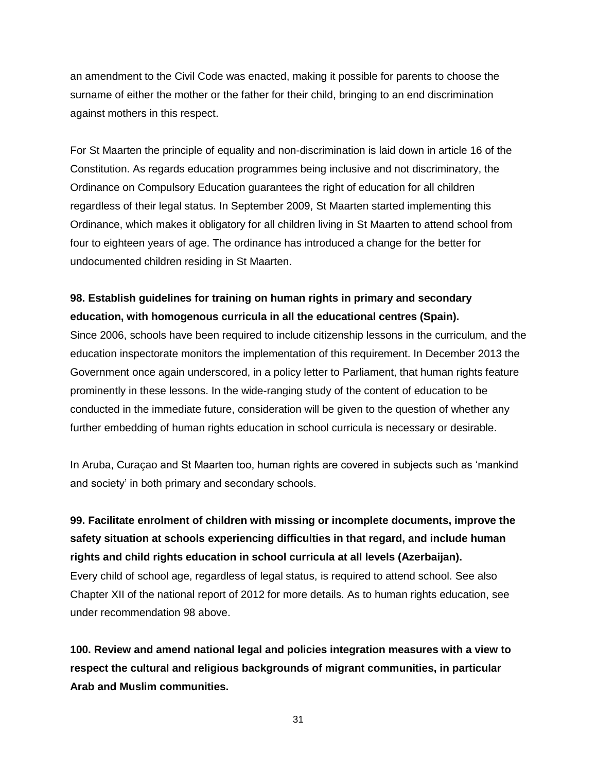an amendment to the Civil Code was enacted, making it possible for parents to choose the surname of either the mother or the father for their child, bringing to an end discrimination against mothers in this respect.

For St Maarten the principle of equality and non-discrimination is laid down in article 16 of the Constitution. As regards education programmes being inclusive and not discriminatory, the Ordinance on Compulsory Education guarantees the right of education for all children regardless of their legal status. In September 2009, St Maarten started implementing this Ordinance, which makes it obligatory for all children living in St Maarten to attend school from four to eighteen years of age. The ordinance has introduced a change for the better for undocumented children residing in St Maarten.

#### **98. Establish guidelines for training on human rights in primary and secondary education, with homogenous curricula in all the educational centres (Spain).**

Since 2006, schools have been required to include citizenship lessons in the curriculum, and the education inspectorate monitors the implementation of this requirement. In December 2013 the Government once again underscored, in a policy letter to Parliament, that human rights feature prominently in these lessons. In the wide-ranging study of the content of education to be conducted in the immediate future, consideration will be given to the question of whether any further embedding of human rights education in school curricula is necessary or desirable.

In Aruba, Curaçao and St Maarten too, human rights are covered in subjects such as 'mankind and society' in both primary and secondary schools.

## **99. Facilitate enrolment of children with missing or incomplete documents, improve the safety situation at schools experiencing difficulties in that regard, and include human rights and child rights education in school curricula at all levels (Azerbaijan).**

Every child of school age, regardless of legal status, is required to attend school. See also Chapter XII of the national report of 2012 for more details. As to human rights education, see under recommendation 98 above.

**100. Review and amend national legal and policies integration measures with a view to respect the cultural and religious backgrounds of migrant communities, in particular Arab and Muslim communities.**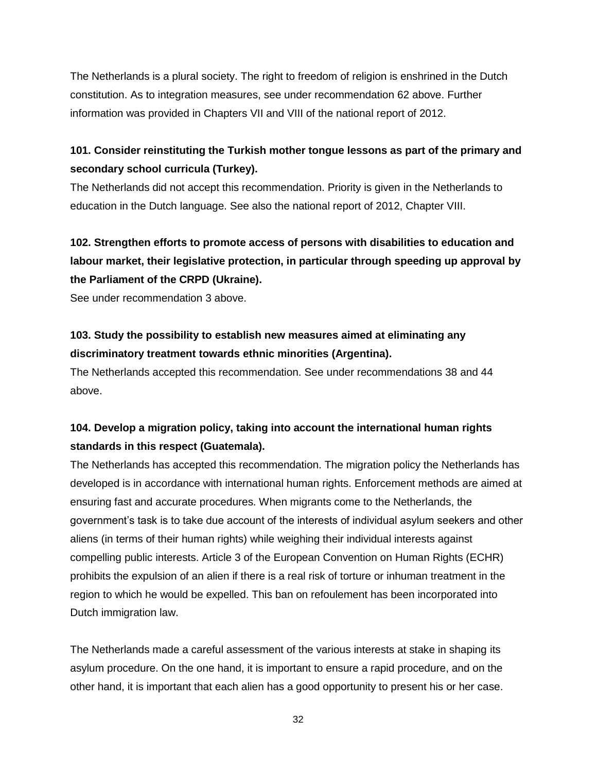The Netherlands is a plural society. The right to freedom of religion is enshrined in the Dutch constitution. As to integration measures, see under recommendation 62 above. Further information was provided in Chapters VII and VIII of the national report of 2012.

#### **101. Consider reinstituting the Turkish mother tongue lessons as part of the primary and secondary school curricula (Turkey).**

The Netherlands did not accept this recommendation. Priority is given in the Netherlands to education in the Dutch language. See also the national report of 2012, Chapter VIII.

## **102. Strengthen efforts to promote access of persons with disabilities to education and labour market, their legislative protection, in particular through speeding up approval by the Parliament of the CRPD (Ukraine).**

See under recommendation 3 above.

### **103. Study the possibility to establish new measures aimed at eliminating any discriminatory treatment towards ethnic minorities (Argentina).**

The Netherlands accepted this recommendation. See under recommendations 38 and 44 above.

### **104. Develop a migration policy, taking into account the international human rights standards in this respect (Guatemala).**

The Netherlands has accepted this recommendation. The migration policy the Netherlands has developed is in accordance with international human rights. Enforcement methods are aimed at ensuring fast and accurate procedures. When migrants come to the Netherlands, the government's task is to take due account of the interests of individual asylum seekers and other aliens (in terms of their human rights) while weighing their individual interests against compelling public interests. Article 3 of the European Convention on Human Rights (ECHR) prohibits the expulsion of an alien if there is a real risk of torture or inhuman treatment in the region to which he would be expelled. This ban on refoulement has been incorporated into Dutch immigration law.

The Netherlands made a careful assessment of the various interests at stake in shaping its asylum procedure. On the one hand, it is important to ensure a rapid procedure, and on the other hand, it is important that each alien has a good opportunity to present his or her case.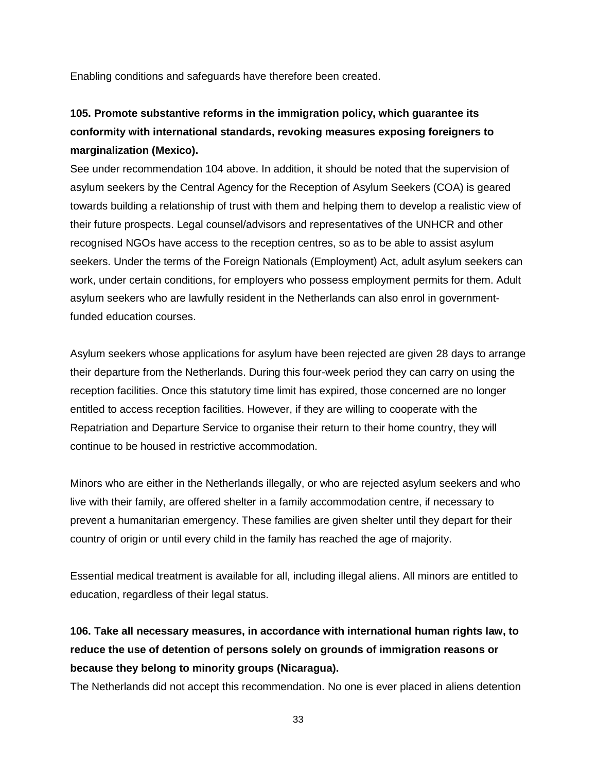Enabling conditions and safeguards have therefore been created.

## **105. Promote substantive reforms in the immigration policy, which guarantee its conformity with international standards, revoking measures exposing foreigners to marginalization (Mexico).**

See under recommendation 104 above. In addition, it should be noted that the supervision of asylum seekers by the Central Agency for the Reception of Asylum Seekers (COA) is geared towards building a relationship of trust with them and helping them to develop a realistic view of their future prospects. Legal counsel/advisors and representatives of the UNHCR and other recognised NGOs have access to the reception centres, so as to be able to assist asylum seekers. Under the terms of the Foreign Nationals (Employment) Act, adult asylum seekers can work, under certain conditions, for employers who possess employment permits for them. Adult asylum seekers who are lawfully resident in the Netherlands can also enrol in governmentfunded education courses.

Asylum seekers whose applications for asylum have been rejected are given 28 days to arrange their departure from the Netherlands. During this four-week period they can carry on using the reception facilities. Once this statutory time limit has expired, those concerned are no longer entitled to access reception facilities. However, if they are willing to cooperate with the Repatriation and Departure Service to organise their return to their home country, they will continue to be housed in restrictive accommodation.

Minors who are either in the Netherlands illegally, or who are rejected asylum seekers and who live with their family, are offered shelter in a family accommodation centre, if necessary to prevent a humanitarian emergency. These families are given shelter until they depart for their country of origin or until every child in the family has reached the age of majority.

Essential medical treatment is available for all, including illegal aliens. All minors are entitled to education, regardless of their legal status.

## **106. Take all necessary measures, in accordance with international human rights law, to reduce the use of detention of persons solely on grounds of immigration reasons or because they belong to minority groups (Nicaragua).**

The Netherlands did not accept this recommendation. No one is ever placed in aliens detention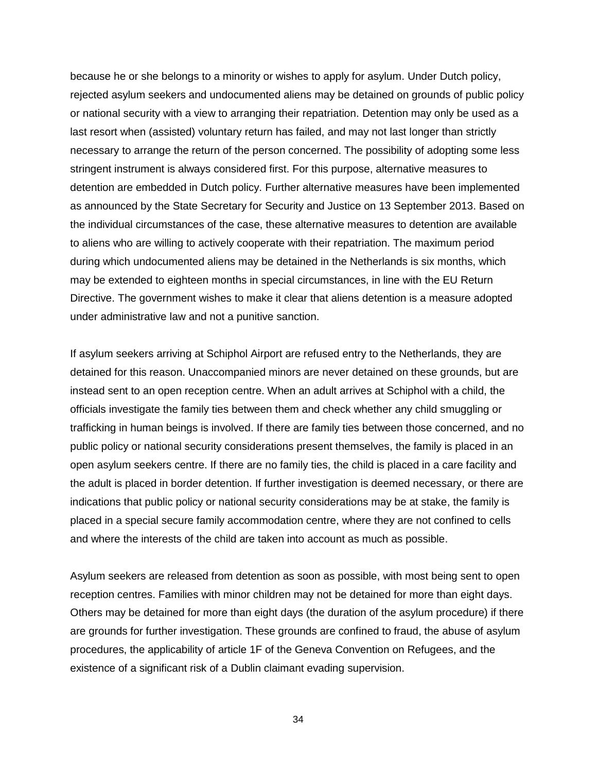because he or she belongs to a minority or wishes to apply for asylum. Under Dutch policy, rejected asylum seekers and undocumented aliens may be detained on grounds of public policy or national security with a view to arranging their repatriation. Detention may only be used as a last resort when (assisted) voluntary return has failed, and may not last longer than strictly necessary to arrange the return of the person concerned. The possibility of adopting some less stringent instrument is always considered first. For this purpose, alternative measures to detention are embedded in Dutch policy. Further alternative measures have been implemented as announced by the State Secretary for Security and Justice on 13 September 2013. Based on the individual circumstances of the case, these alternative measures to detention are available to aliens who are willing to actively cooperate with their repatriation. The maximum period during which undocumented aliens may be detained in the Netherlands is six months, which may be extended to eighteen months in special circumstances, in line with the EU Return Directive. The government wishes to make it clear that aliens detention is a measure adopted under administrative law and not a punitive sanction.

If asylum seekers arriving at Schiphol Airport are refused entry to the Netherlands, they are detained for this reason. Unaccompanied minors are never detained on these grounds, but are instead sent to an open reception centre. When an adult arrives at Schiphol with a child, the officials investigate the family ties between them and check whether any child smuggling or trafficking in human beings is involved. If there are family ties between those concerned, and no public policy or national security considerations present themselves, the family is placed in an open asylum seekers centre. If there are no family ties, the child is placed in a care facility and the adult is placed in border detention. If further investigation is deemed necessary, or there are indications that public policy or national security considerations may be at stake, the family is placed in a special secure family accommodation centre, where they are not confined to cells and where the interests of the child are taken into account as much as possible.

Asylum seekers are released from detention as soon as possible, with most being sent to open reception centres. Families with minor children may not be detained for more than eight days. Others may be detained for more than eight days (the duration of the asylum procedure) if there are grounds for further investigation. These grounds are confined to fraud, the abuse of asylum procedures, the applicability of article 1F of the Geneva Convention on Refugees, and the existence of a significant risk of a Dublin claimant evading supervision.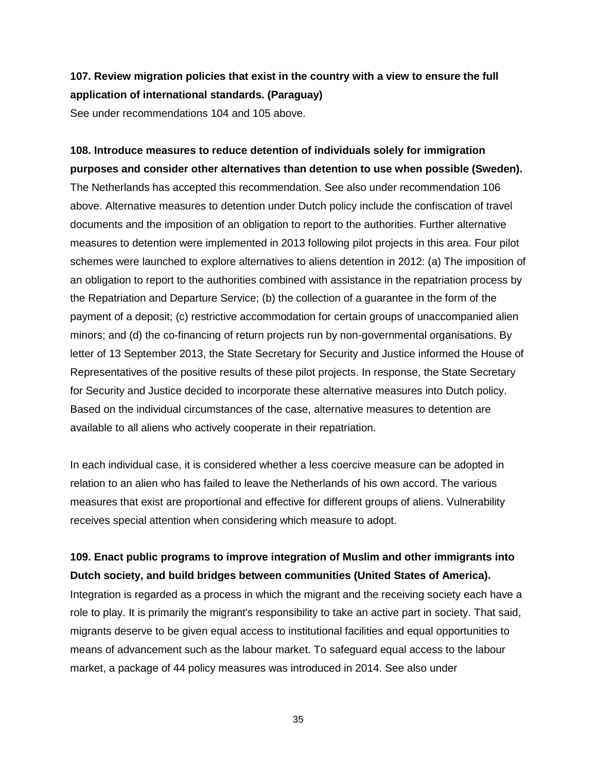### **107. Review migration policies that exist in the country with a view to ensure the full application of international standards. (Paraguay)**

See under recommendations 104 and 105 above.

# **108. Introduce measures to reduce detention of individuals solely for immigration purposes and consider other alternatives than detention to use when possible (Sweden).** The Netherlands has accepted this recommendation. See also under recommendation 106 above. Alternative measures to detention under Dutch policy include the confiscation of travel documents and the imposition of an obligation to report to the authorities. Further alternative measures to detention were implemented in 2013 following pilot projects in this area. Four pilot schemes were launched to explore alternatives to aliens detention in 2012: (a) The imposition of an obligation to report to the authorities combined with assistance in the repatriation process by the Repatriation and Departure Service; (b) the collection of a guarantee in the form of the payment of a deposit; (c) restrictive accommodation for certain groups of unaccompanied alien minors; and (d) the co-financing of return projects run by non-governmental organisations. By letter of 13 September 2013, the State Secretary for Security and Justice informed the House of Representatives of the positive results of these pilot projects. In response, the State Secretary for Security and Justice decided to incorporate these alternative measures into Dutch policy. Based on the individual circumstances of the case, alternative measures to detention are available to all aliens who actively cooperate in their repatriation.

In each individual case, it is considered whether a less coercive measure can be adopted in relation to an alien who has failed to leave the Netherlands of his own accord. The various measures that exist are proportional and effective for different groups of aliens. Vulnerability receives special attention when considering which measure to adopt.

### **109. Enact public programs to improve integration of Muslim and other immigrants into Dutch society, and build bridges between communities (United States of America).**

Integration is regarded as a process in which the migrant and the receiving society each have a role to play. It is primarily the migrant's responsibility to take an active part in society. That said, migrants deserve to be given equal access to institutional facilities and equal opportunities to means of advancement such as the labour market. To safeguard equal access to the labour market, a package of 44 policy measures was introduced in 2014. See also under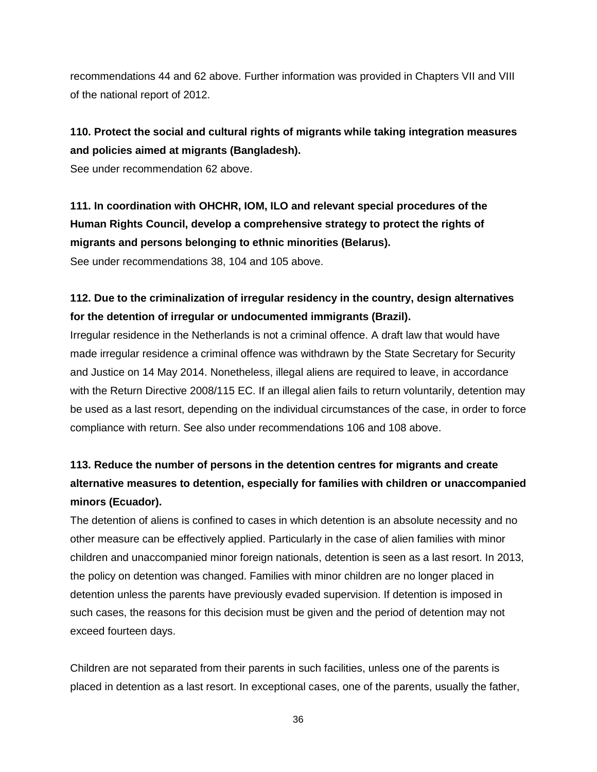recommendations 44 and 62 above. Further information was provided in Chapters VII and VIII of the national report of 2012.

## **110. Protect the social and cultural rights of migrants while taking integration measures and policies aimed at migrants (Bangladesh).**

See under recommendation 62 above.

**111. In coordination with OHCHR, IOM, ILO and relevant special procedures of the Human Rights Council, develop a comprehensive strategy to protect the rights of migrants and persons belonging to ethnic minorities (Belarus).** See under recommendations 38, 104 and 105 above.

**112. Due to the criminalization of irregular residency in the country, design alternatives for the detention of irregular or undocumented immigrants (Brazil).**

Irregular residence in the Netherlands is not a criminal offence. A draft law that would have made irregular residence a criminal offence was withdrawn by the State Secretary for Security and Justice on 14 May 2014. Nonetheless, illegal aliens are required to leave, in accordance with the Return Directive 2008/115 EC. If an illegal alien fails to return voluntarily, detention may be used as a last resort, depending on the individual circumstances of the case, in order to force compliance with return. See also under recommendations 106 and 108 above.

## **113. Reduce the number of persons in the detention centres for migrants and create alternative measures to detention, especially for families with children or unaccompanied minors (Ecuador).**

The detention of aliens is confined to cases in which detention is an absolute necessity and no other measure can be effectively applied. Particularly in the case of alien families with minor children and unaccompanied minor foreign nationals, detention is seen as a last resort. In 2013, the policy on detention was changed. Families with minor children are no longer placed in detention unless the parents have previously evaded supervision. If detention is imposed in such cases, the reasons for this decision must be given and the period of detention may not exceed fourteen days.

Children are not separated from their parents in such facilities, unless one of the parents is placed in detention as a last resort. In exceptional cases, one of the parents, usually the father,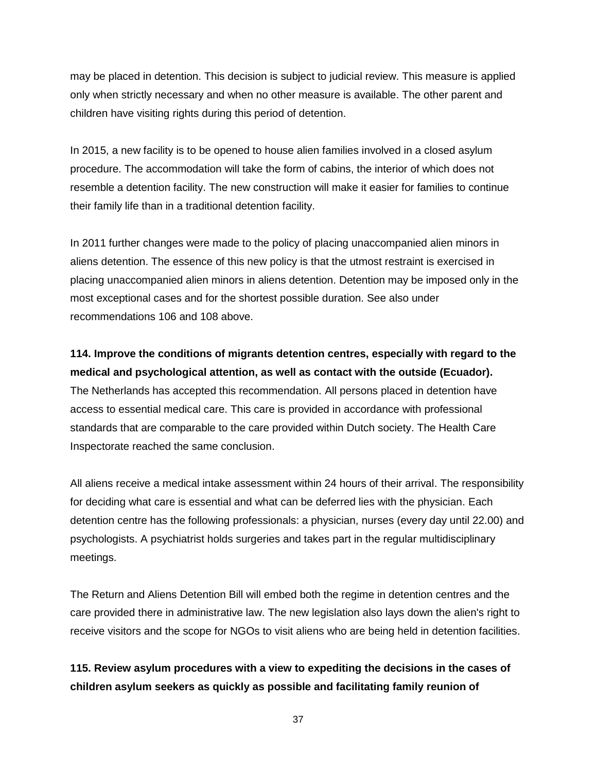may be placed in detention. This decision is subject to judicial review. This measure is applied only when strictly necessary and when no other measure is available. The other parent and children have visiting rights during this period of detention.

In 2015, a new facility is to be opened to house alien families involved in a closed asylum procedure. The accommodation will take the form of cabins, the interior of which does not resemble a detention facility. The new construction will make it easier for families to continue their family life than in a traditional detention facility.

In 2011 further changes were made to the policy of placing unaccompanied alien minors in aliens detention. The essence of this new policy is that the utmost restraint is exercised in placing unaccompanied alien minors in aliens detention. Detention may be imposed only in the most exceptional cases and for the shortest possible duration. See also under recommendations 106 and 108 above.

**114. Improve the conditions of migrants detention centres, especially with regard to the medical and psychological attention, as well as contact with the outside (Ecuador).** The Netherlands has accepted this recommendation. All persons placed in detention have access to essential medical care. This care is provided in accordance with professional standards that are comparable to the care provided within Dutch society. The Health Care Inspectorate reached the same conclusion.

All aliens receive a medical intake assessment within 24 hours of their arrival. The responsibility for deciding what care is essential and what can be deferred lies with the physician. Each detention centre has the following professionals: a physician, nurses (every day until 22.00) and psychologists. A psychiatrist holds surgeries and takes part in the regular multidisciplinary meetings.

The Return and Aliens Detention Bill will embed both the regime in detention centres and the care provided there in administrative law. The new legislation also lays down the alien's right to receive visitors and the scope for NGOs to visit aliens who are being held in detention facilities.

**115. Review asylum procedures with a view to expediting the decisions in the cases of children asylum seekers as quickly as possible and facilitating family reunion of**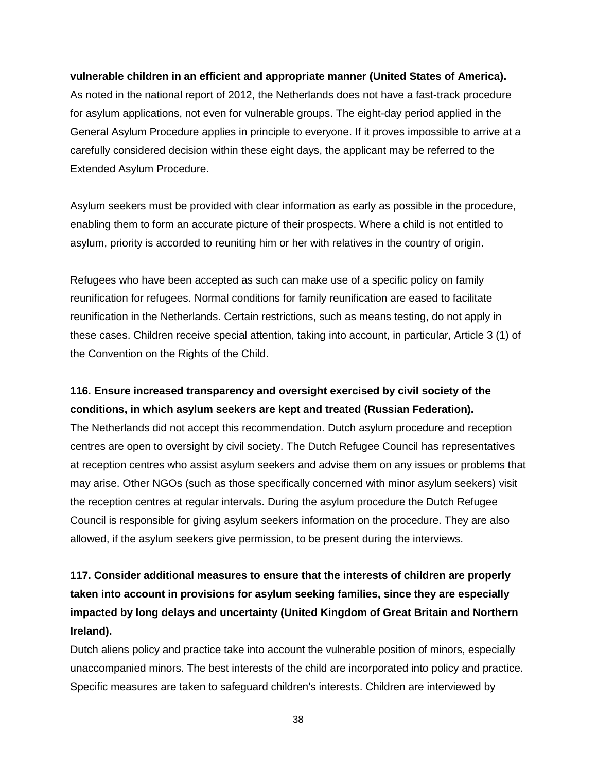#### **vulnerable children in an efficient and appropriate manner (United States of America).**

As noted in the national report of 2012, the Netherlands does not have a fast-track procedure for asylum applications, not even for vulnerable groups. The eight-day period applied in the General Asylum Procedure applies in principle to everyone. If it proves impossible to arrive at a carefully considered decision within these eight days, the applicant may be referred to the Extended Asylum Procedure.

Asylum seekers must be provided with clear information as early as possible in the procedure, enabling them to form an accurate picture of their prospects. Where a child is not entitled to asylum, priority is accorded to reuniting him or her with relatives in the country of origin.

Refugees who have been accepted as such can make use of a specific policy on family reunification for refugees. Normal conditions for family reunification are eased to facilitate reunification in the Netherlands. Certain restrictions, such as means testing, do not apply in these cases. Children receive special attention, taking into account, in particular, Article 3 (1) of the Convention on the Rights of the Child.

#### **116. Ensure increased transparency and oversight exercised by civil society of the conditions, in which asylum seekers are kept and treated (Russian Federation).**

The Netherlands did not accept this recommendation. Dutch asylum procedure and reception centres are open to oversight by civil society. The Dutch Refugee Council has representatives at reception centres who assist asylum seekers and advise them on any issues or problems that may arise. Other NGOs (such as those specifically concerned with minor asylum seekers) visit the reception centres at regular intervals. During the asylum procedure the Dutch Refugee Council is responsible for giving asylum seekers information on the procedure. They are also allowed, if the asylum seekers give permission, to be present during the interviews.

## **117. Consider additional measures to ensure that the interests of children are properly taken into account in provisions for asylum seeking families, since they are especially impacted by long delays and uncertainty (United Kingdom of Great Britain and Northern Ireland).**

Dutch aliens policy and practice take into account the vulnerable position of minors, especially unaccompanied minors. The best interests of the child are incorporated into policy and practice. Specific measures are taken to safeguard children's interests. Children are interviewed by